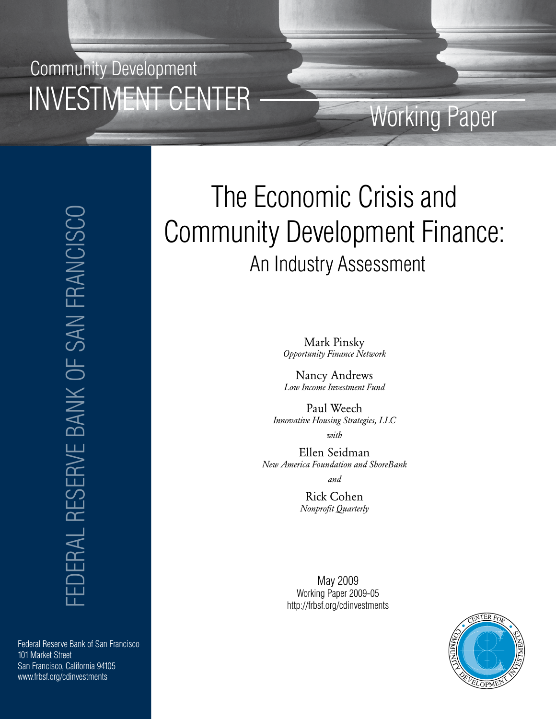Community Development INVESTMENT CENTER

> EDERAL RESERVE BANK OF SAN FRANCISCO FEDERAL RESERVE BANK OF SAN FRANCISCO

Federal Reserve Bank of San Francisco 101 Market Street San Francisco, California 94105 www.frbsf.org/cdinvestments

# The Economic Crisis and Community Development Finance: An Industry Assessment

Working Paper

Mark Pinsky *Opportunity Finance Network*

Nancy Andrews *Low Income Investment Fund*

Paul Weech *Innovative Housing Strategies, LLC*

*with*

Ellen Seidman *New America Foundation and ShoreBank*

*and* 

Rick Cohen *Nonprofit Quarterly*

May 2009 Working Paper 2009-05 http://frbsf.org/cdinvestments

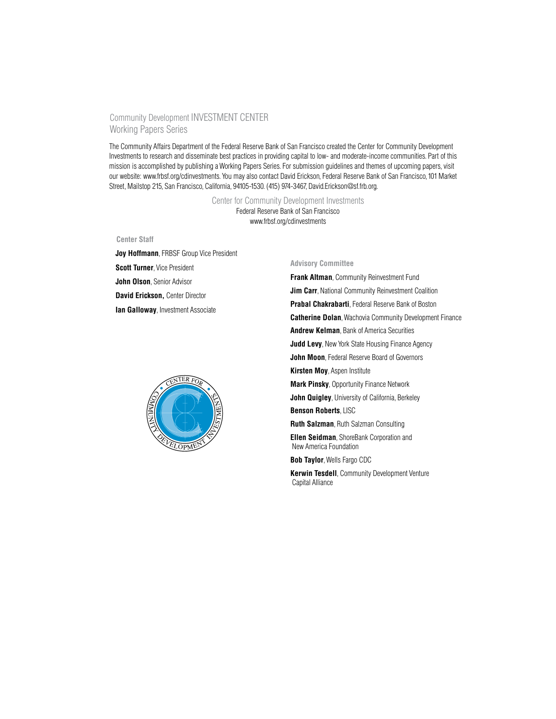#### Community Development INVESTMENT CENTER Working Papers Series

The Community Affairs Department of the Federal Reserve Bank of San Francisco created the Center for Community Development Investments to research and disseminate best practices in providing capital to low- and moderate-income communities. Part of this mission is accomplished by publishing a Working Papers Series. For submission guidelines and themes of upcoming papers, visit our website: www.frbsf.org/cdinvestments. You may also contact David Erickson, Federal Reserve Bank of San Francisco, 101 Market Street, Mailstop 215, San Francisco, California, 94105-1530. (415) 974-3467, David.Erickson@sf.frb.org.

> Center for Community Development Investments Federal Reserve Bank of San Francisco www.frbsf.org/cdinvestments

#### **Center Staff**

**Joy Hoffmann**, FRBSF Group Vice President **Scott Turner**, Vice President **John Olson**, Senior Advisor **David Erickson,** Center Director **Ian Galloway, Investment Associate** 



#### **Advisory Committee**

**Frank Altman**, Community Reinvestment Fund **Jim Carr**, National Community Reinvestment Coalition **Prabal Chakrabarti**, Federal Reserve Bank of Boston **Catherine Dolan**, Wachovia Community Development Finance **Andrew Kelman**, Bank of America Securities **Judd Levy**, New York State Housing Finance Agency **John Moon**, Federal Reserve Board of Governors **Kirsten Moy**, Aspen Institute **Mark Pinsky**, Opportunity Finance Network **John Quigley**, University of California, Berkeley **Benson Roberts**, LISC **Ruth Salzman**, Ruth Salzman Consulting **Ellen Seidman**, ShoreBank Corporation and New America Foundation **Bob Taylor**, Wells Fargo CDC **Kerwin Tesdell**, Community Development Venture Capital Alliance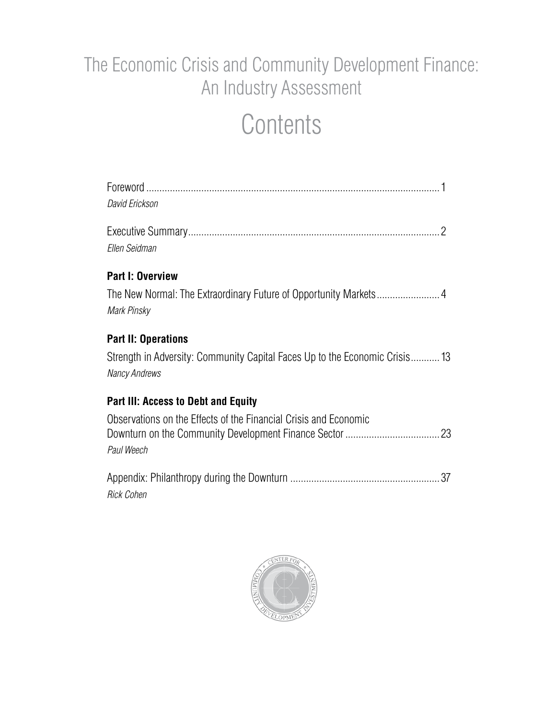# The Economic Crisis and Community Development Finance: An Industry Assessment

# **Contents**

| David Erickson                                                                                     |  |
|----------------------------------------------------------------------------------------------------|--|
| Ellen Seidman                                                                                      |  |
| <b>Part I: Overview</b>                                                                            |  |
| Mark Pinsky                                                                                        |  |
| <b>Part II: Operations</b>                                                                         |  |
| Strength in Adversity: Community Capital Faces Up to the Economic Crisis13<br><b>Nancy Andrews</b> |  |
| <b>Part III: Access to Debt and Equity</b>                                                         |  |
| Observations on the Effects of the Financial Crisis and Economic<br>Paul Weech                     |  |

Appendix: Philanthropy during the Downturn ......................................................... 37 *Rick Cohen*

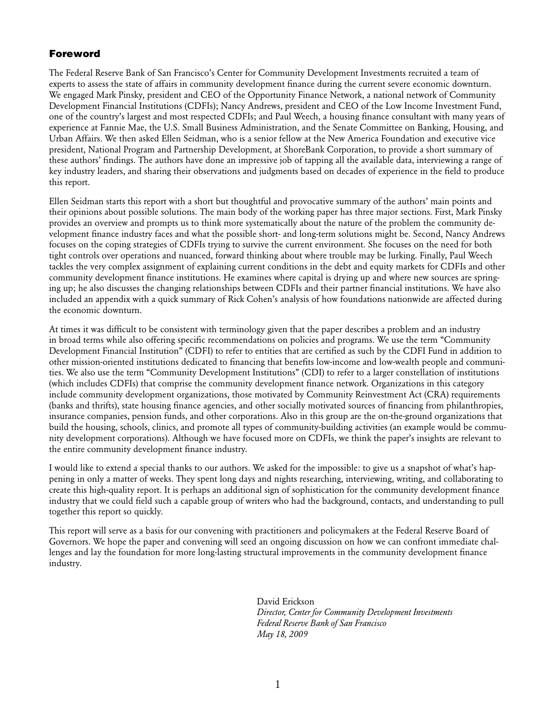#### Foreword

The Federal Reserve Bank of San Francisco's Center for Community Development Investments recruited a team of experts to assess the state of affairs in community development finance during the current severe economic downturn. We engaged Mark Pinsky, president and CEO of the Opportunity Finance Network, a national network of Community Development Financial Institutions (CDFIs); Nancy Andrews, president and CEO of the Low Income Investment Fund, one of the country's largest and most respected CDFIs; and Paul Weech, a housing finance consultant with many years of experience at Fannie Mae, the U.S. Small Business Administration, and the Senate Committee on Banking, Housing, and Urban Affairs. We then asked Ellen Seidman, who is a senior fellow at the New America Foundation and executive vice president, National Program and Partnership Development, at ShoreBank Corporation, to provide a short summary of these authors' findings. The authors have done an impressive job of tapping all the available data, interviewing a range of key industry leaders, and sharing their observations and judgments based on decades of experience in the field to produce this report.

Ellen Seidman starts this report with a short but thoughtful and provocative summary of the authors' main points and their opinions about possible solutions. The main body of the working paper has three major sections. First, Mark Pinsky provides an overview and prompts us to think more systematically about the nature of the problem the community development finance industry faces and what the possible short- and long-term solutions might be. Second, Nancy Andrews focuses on the coping strategies of CDFIs trying to survive the current environment. She focuses on the need for both tight controls over operations and nuanced, forward thinking about where trouble may be lurking. Finally, Paul Weech tackles the very complex assignment of explaining current conditions in the debt and equity markets for CDFIs and other community development finance institutions. He examines where capital is drying up and where new sources are springing up; he also discusses the changing relationships between CDFIs and their partner financial institutions. We have also included an appendix with a quick summary of Rick Cohen's analysis of how foundations nationwide are affected during the economic downturn.

At times it was difficult to be consistent with terminology given that the paper describes a problem and an industry in broad terms while also offering specific recommendations on policies and programs. We use the term "Community Development Financial Institution" (CDFI) to refer to entities that are certified as such by the CDFI Fund in addition to other mission-oriented institutions dedicated to financing that benefits low-income and low-wealth people and communities. We also use the term "Community Development Institutions" (CDI) to refer to a larger constellation of institutions (which includes CDFIs) that comprise the community development finance network. Organizations in this category include community development organizations, those motivated by Community Reinvestment Act (CRA) requirements (banks and thrifts), state housing finance agencies, and other socially motivated sources of financing from philanthropies, insurance companies, pension funds, and other corporations. Also in this group are the on-the-ground organizations that build the housing, schools, clinics, and promote all types of community-building activities (an example would be community development corporations). Although we have focused more on CDFIs, we think the paper's insights are relevant to the entire community development finance industry.

I would like to extend a special thanks to our authors. We asked for the impossible: to give us a snapshot of what's happening in only a matter of weeks. They spent long days and nights researching, interviewing, writing, and collaborating to create this high-quality report. It is perhaps an additional sign of sophistication for the community development finance industry that we could field such a capable group of writers who had the background, contacts, and understanding to pull together this report so quickly.

This report will serve as a basis for our convening with practitioners and policymakers at the Federal Reserve Board of Governors. We hope the paper and convening will seed an ongoing discussion on how we can confront immediate challenges and lay the foundation for more long-lasting structural improvements in the community development finance industry.

> David Erickson *Director, Center for Community Development Investments Federal Reserve Bank of San Francisco May 18, 2009*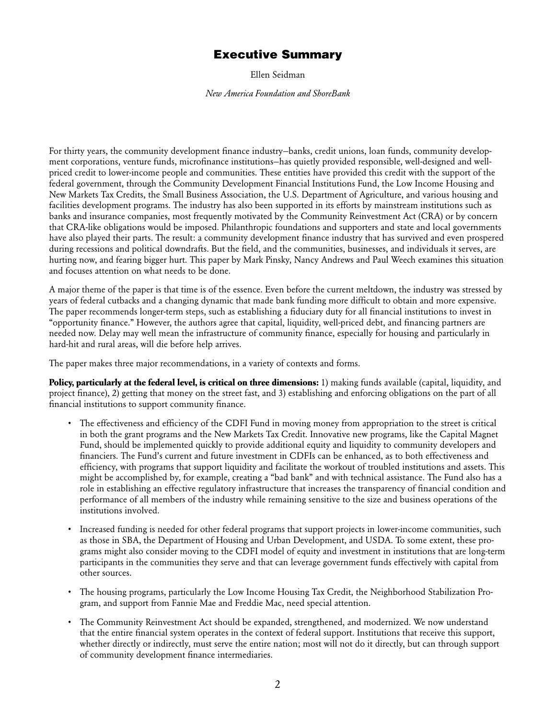### Executive Summary

Ellen Seidman

*New America Foundation and ShoreBank*

For thirty years, the community development finance industry—banks, credit unions, loan funds, community development corporations, venture funds, microfinance institutions—has quietly provided responsible, well-designed and wellpriced credit to lower-income people and communities. These entities have provided this credit with the support of the federal government, through the Community Development Financial Institutions Fund, the Low Income Housing and New Markets Tax Credits, the Small Business Association, the U.S. Department of Agriculture, and various housing and facilities development programs. The industry has also been supported in its efforts by mainstream institutions such as banks and insurance companies, most frequently motivated by the Community Reinvestment Act (CRA) or by concern that CRA-like obligations would be imposed. Philanthropic foundations and supporters and state and local governments have also played their parts. The result: a community development finance industry that has survived and even prospered during recessions and political downdrafts. But the field, and the communities, businesses, and individuals it serves, are hurting now, and fearing bigger hurt. This paper by Mark Pinsky, Nancy Andrews and Paul Weech examines this situation and focuses attention on what needs to be done.

A major theme of the paper is that time is of the essence. Even before the current meltdown, the industry was stressed by years of federal cutbacks and a changing dynamic that made bank funding more difficult to obtain and more expensive. The paper recommends longer-term steps, such as establishing a fiduciary duty for all financial institutions to invest in "opportunity finance." However, the authors agree that capital, liquidity, well-priced debt, and financing partners are needed now. Delay may well mean the infrastructure of community finance, especially for housing and particularly in hard-hit and rural areas, will die before help arrives.

The paper makes three major recommendations, in a variety of contexts and forms.

**Policy, particularly at the federal level, is critical on three dimensions:** 1) making funds available (capital, liquidity, and project finance), 2) getting that money on the street fast, and 3) establishing and enforcing obligations on the part of all financial institutions to support community finance.

- • The effectiveness and efficiency of the CDFI Fund in moving money from appropriation to the street is critical in both the grant programs and the New Markets Tax Credit. Innovative new programs, like the Capital Magnet Fund, should be implemented quickly to provide additional equity and liquidity to community developers and financiers. The Fund's current and future investment in CDFIs can be enhanced, as to both effectiveness and efficiency, with programs that support liquidity and facilitate the workout of troubled institutions and assets. This might be accomplished by, for example, creating a "bad bank" and with technical assistance. The Fund also has a role in establishing an effective regulatory infrastructure that increases the transparency of financial condition and performance of all members of the industry while remaining sensitive to the size and business operations of the institutions involved.
- Increased funding is needed for other federal programs that support projects in lower-income communities, such as those in SBA, the Department of Housing and Urban Development, and USDA. To some extent, these programs might also consider moving to the CDFI model of equity and investment in institutions that are long-term participants in the communities they serve and that can leverage government funds effectively with capital from other sources.
- The housing programs, particularly the Low Income Housing Tax Credit, the Neighborhood Stabilization Program, and support from Fannie Mae and Freddie Mac, need special attention.
- The Community Reinvestment Act should be expanded, strengthened, and modernized. We now understand that the entire financial system operates in the context of federal support. Institutions that receive this support, whether directly or indirectly, must serve the entire nation; most will not do it directly, but can through support of community development finance intermediaries.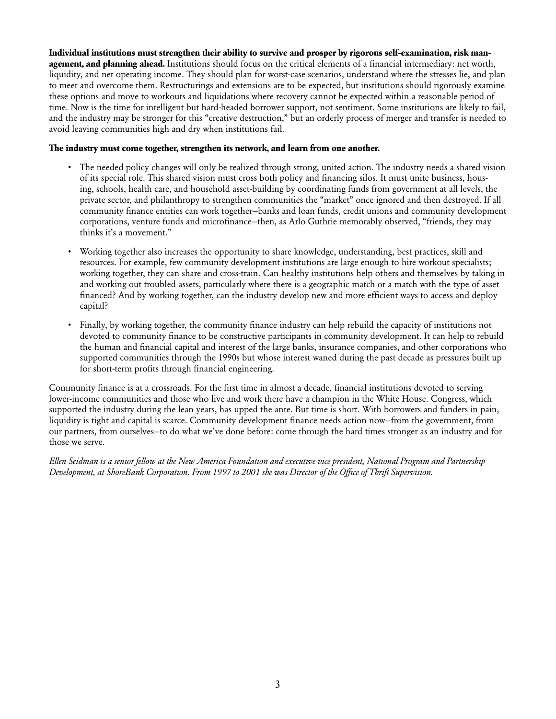**Individual institutions must strengthen their ability to survive and prosper by rigorous self-examination, risk management, and planning ahead.** Institutions should focus on the critical elements of a financial intermediary: net worth, liquidity, and net operating income. They should plan for worst-case scenarios, understand where the stresses lie, and plan to meet and overcome them. Restructurings and extensions are to be expected, but institutions should rigorously examine these options and move to workouts and liquidations where recovery cannot be expected within a reasonable period of time. Now is the time for intelligent but hard-headed borrower support, not sentiment. Some institutions are likely to fail, and the industry may be stronger for this "creative destruction," but an orderly process of merger and transfer is needed to avoid leaving communities high and dry when institutions fail.

#### **The industry must come together, strengthen its network, and learn from one another.**

- • The needed policy changes will only be realized through strong, united action. The industry needs a shared vision of its special role. This shared vision must cross both policy and financing silos. It must unite business, housing, schools, health care, and household asset-building by coordinating funds from government at all levels, the private sector, and philanthropy to strengthen communities the "market" once ignored and then destroyed. If all community finance entities can work together—banks and loan funds, credit unions and community development corporations, venture funds and microfinance—then, as Arlo Guthrie memorably observed, "friends, they may thinks it's a movement."
- • Working together also increases the opportunity to share knowledge, understanding, best practices, skill and resources. For example, few community development institutions are large enough to hire workout specialists; working together, they can share and cross-train. Can healthy institutions help others and themselves by taking in and working out troubled assets, particularly where there is a geographic match or a match with the type of asset financed? And by working together, can the industry develop new and more efficient ways to access and deploy capital?
- Finally, by working together, the community finance industry can help rebuild the capacity of institutions not devoted to community finance to be constructive participants in community development. It can help to rebuild the human and financial capital and interest of the large banks, insurance companies, and other corporations who supported communities through the 1990s but whose interest waned during the past decade as pressures built up for short-term profits through financial engineering.

Community finance is at a crossroads. For the first time in almost a decade, financial institutions devoted to serving lower-income communities and those who live and work there have a champion in the White House. Congress, which supported the industry during the lean years, has upped the ante. But time is short. With borrowers and funders in pain, liquidity is tight and capital is scarce. Community development finance needs action now—from the government, from our partners, from ourselves—to do what we've done before: come through the hard times stronger as an industry and for those we serve.

*Ellen Seidman is a senior fellow at the New America Foundation and executive vice president, National Program and Partnership Development, at ShoreBank Corporation. From 1997 to 2001 she was Director of the Office of Thrift Supervision.*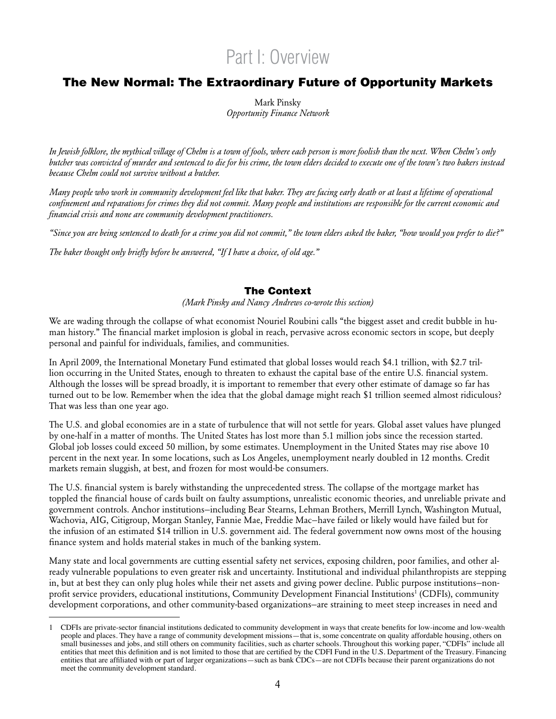## Part I: Overview

### The New Normal: The Extraordinary Future of Opportunity Markets

Mark Pinsky *Opportunity Finance Network*

*In Jewish folklore, the mythical village of Chelm is a town of fools, where each person is more foolish than the next. When Chelm's only butcher was convicted of murder and sentenced to die for his crime, the town elders decided to execute one of the town's two bakers instead because Chelm could not survive without a butcher.*

*Many people who work in community development feel like that baker. They are facing early death or at least a lifetime of operational confinement and reparations for crimes they did not commit. Many people and institutions are responsible for the current economic and financial crisis and none are community development practitioners.*

*"Since you are being sentenced to death for a crime you did not commit," the town elders asked the baker, "how would you prefer to die?"*

*The baker thought only briefly before he answered, "If I have a choice, of old age."*

#### The Context

*(Mark Pinsky and Nancy Andrews co-wrote this section)*

We are wading through the collapse of what economist Nouriel Roubini calls "the biggest asset and credit bubble in human history." The financial market implosion is global in reach, pervasive across economic sectors in scope, but deeply personal and painful for individuals, families, and communities.

In April 2009, the International Monetary Fund estimated that global losses would reach \$4.1 trillion, with \$2.7 trillion occurring in the United States, enough to threaten to exhaust the capital base of the entire U.S. financial system. Although the losses will be spread broadly, it is important to remember that every other estimate of damage so far has turned out to be low. Remember when the idea that the global damage might reach \$1 trillion seemed almost ridiculous? That was less than one year ago.

The U.S. and global economies are in a state of turbulence that will not settle for years. Global asset values have plunged by one-half in a matter of months. The United States has lost more than 5.1 million jobs since the recession started. Global job losses could exceed 50 million, by some estimates. Unemployment in the United States may rise above 10 percent in the next year. In some locations, such as Los Angeles, unemployment nearly doubled in 12 months. Credit markets remain sluggish, at best, and frozen for most would-be consumers.

The U.S. financial system is barely withstanding the unprecedented stress. The collapse of the mortgage market has toppled the financial house of cards built on faulty assumptions, unrealistic economic theories, and unreliable private and government controls. Anchor institutions—including Bear Stearns, Lehman Brothers, Merrill Lynch, Washington Mutual, Wachovia, AIG, Citigroup, Morgan Stanley, Fannie Mae, Freddie Mac—have failed or likely would have failed but for the infusion of an estimated \$14 trillion in U.S. government aid. The federal government now owns most of the housing finance system and holds material stakes in much of the banking system.

Many state and local governments are cutting essential safety net services, exposing children, poor families, and other already vulnerable populations to even greater risk and uncertainty. Institutional and individual philanthropists are stepping in, but at best they can only plug holes while their net assets and giving power decline. Public purpose institutions—nonprofit service providers, educational institutions, Community Development Financial Institutions<sup>1</sup> (CDFIs), community development corporations, and other community-based organizations—are straining to meet steep increases in need and

<sup>1</sup> CDFIs are private-sector financial institutions dedicated to community development in ways that create benefits for low-income and low-wealth people and places. They have a range of community development missions—that is, some concentrate on quality affordable housing, others on small businesses and jobs, and still others on community facilities, such as charter schools. Throughout this working paper, "CDFIs" include all entities that meet this definition and is not limited to those that are certified by the CDFI Fund in the U.S. Department of the Treasury. Financing entities that are affiliated with or part of larger organizations—such as bank CDCs—are not CDFIs because their parent organizations do not meet the community development standard.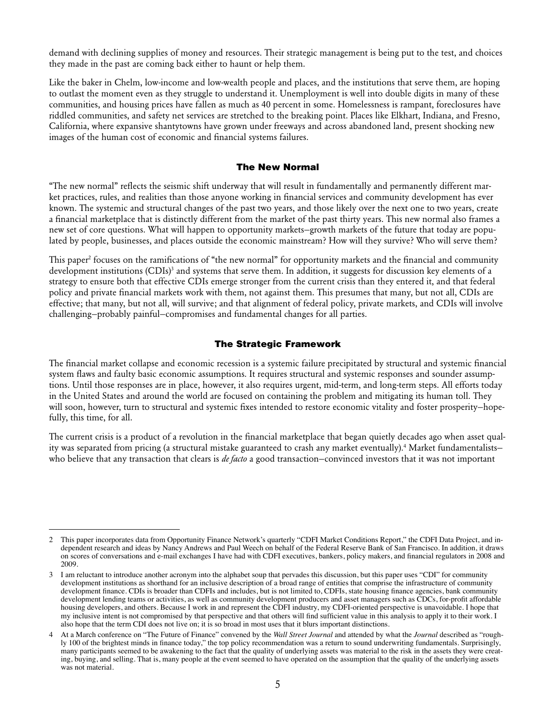demand with declining supplies of money and resources. Their strategic management is being put to the test, and choices they made in the past are coming back either to haunt or help them.

Like the baker in Chelm, low-income and low-wealth people and places, and the institutions that serve them, are hoping to outlast the moment even as they struggle to understand it. Unemployment is well into double digits in many of these communities, and housing prices have fallen as much as 40 percent in some. Homelessness is rampant, foreclosures have riddled communities, and safety net services are stretched to the breaking point. Places like Elkhart, Indiana, and Fresno, California, where expansive shantytowns have grown under freeways and across abandoned land, present shocking new images of the human cost of economic and financial systems failures.

#### The New Normal

"The new normal" reflects the seismic shift underway that will result in fundamentally and permanently different market practices, rules, and realities than those anyone working in financial services and community development has ever known. The systemic and structural changes of the past two years, and those likely over the next one to two years, create a financial marketplace that is distinctly different from the market of the past thirty years. This new normal also frames a new set of core questions. What will happen to opportunity markets—growth markets of the future that today are populated by people, businesses, and places outside the economic mainstream? How will they survive? Who will serve them?

This paper<sup>2</sup> focuses on the ramifications of "the new normal" for opportunity markets and the financial and community development institutions (CDIs)<sup>3</sup> and systems that serve them. In addition, it suggests for discussion key elements of a strategy to ensure both that effective CDIs emerge stronger from the current crisis than they entered it, and that federal policy and private financial markets work with them, not against them. This presumes that many, but not all, CDIs are effective; that many, but not all, will survive; and that alignment of federal policy, private markets, and CDIs will involve challenging—probably painful—compromises and fundamental changes for all parties.

#### The Strategic Framework

The financial market collapse and economic recession is a systemic failure precipitated by structural and systemic financial system flaws and faulty basic economic assumptions. It requires structural and systemic responses and sounder assumptions. Until those responses are in place, however, it also requires urgent, mid-term, and long-term steps. All efforts today in the United States and around the world are focused on containing the problem and mitigating its human toll. They will soon, however, turn to structural and systemic fixes intended to restore economic vitality and foster prosperity—hopefully, this time, for all.

The current crisis is a product of a revolution in the financial marketplace that began quietly decades ago when asset quality was separated from pricing (a structural mistake guaranteed to crash any market eventually).<sup>4</sup> Market fundamentalists– who believe that any transaction that clears is *de facto* a good transaction—convinced investors that it was not important

<sup>2</sup> This paper incorporates data from Opportunity Finance Network's quarterly "CDFI Market Conditions Report," the CDFI Data Project, and independent research and ideas by Nancy Andrews and Paul Weech on behalf of the Federal Reserve Bank of San Francisco. In addition, it draws on scores of conversations and e-mail exchanges I have had with CDFI executives, bankers, policy makers, and financial regulators in 2008 and 2009.

<sup>3</sup> I am reluctant to introduce another acronym into the alphabet soup that pervades this discussion, but this paper uses "CDI" for community development institutions as shorthand for an inclusive description of a broad range of entities that comprise the infrastructure of community development finance. CDIs is broader than CDFIs and includes, but is not limited to, CDFIs, state housing finance agencies, bank community development lending teams or activities, as well as community development producers and asset managers such as CDCs, for-profit affordable housing developers, and others. Because I work in and represent the CDFI industry, my CDFI-oriented perspective is unavoidable. I hope that my inclusive intent is not compromised by that perspective and that others will find sufficient value in this analysis to apply it to their work. I also hope that the term CDI does not live on; it is so broad in most uses that it blurs important distinctions.

<sup>4</sup> At a March conference on "The Future of Finance" convened by the *Wall Street Journal* and attended by what the *Journal* described as "roughly 100 of the brightest minds in finance today," the top policy recommendation was a return to sound underwriting fundamentals. Surprisingly, many participants seemed to be awakening to the fact that the quality of underlying assets was material to the risk in the assets they were creating, buying, and selling. That is, many people at the event seemed to have operated on the assumption that the quality of the underlying assets was not material.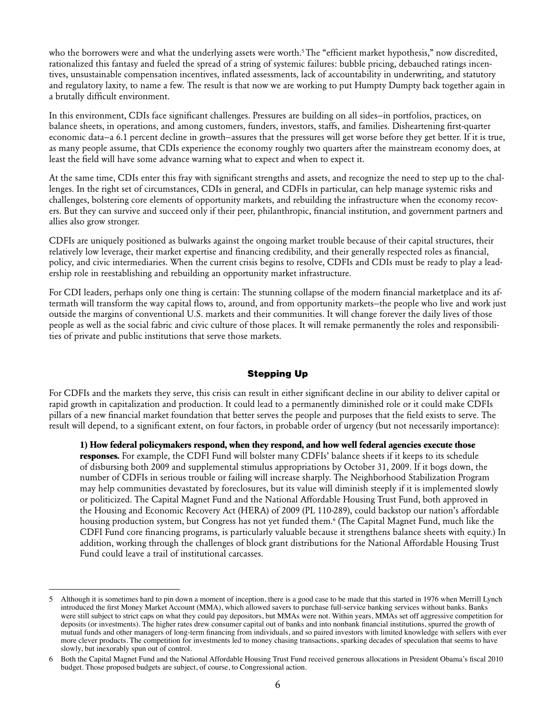who the borrowers were and what the underlying assets were worth.<sup>5</sup> The "efficient market hypothesis," now discredited, rationalized this fantasy and fueled the spread of a string of systemic failures: bubble pricing, debauched ratings incentives, unsustainable compensation incentives, inflated assessments, lack of accountability in underwriting, and statutory and regulatory laxity, to name a few. The result is that now we are working to put Humpty Dumpty back together again in a brutally difficult environment.

In this environment, CDIs face significant challenges. Pressures are building on all sides—in portfolios, practices, on balance sheets, in operations, and among customers, funders, investors, staffs, and families. Disheartening first-quarter economic data—a 6.1 percent decline in growth—assures that the pressures will get worse before they get better. If it is true, as many people assume, that CDIs experience the economy roughly two quarters after the mainstream economy does, at least the field will have some advance warning what to expect and when to expect it.

At the same time, CDIs enter this fray with significant strengths and assets, and recognize the need to step up to the challenges. In the right set of circumstances, CDIs in general, and CDFIs in particular, can help manage systemic risks and challenges, bolstering core elements of opportunity markets, and rebuilding the infrastructure when the economy recovers. But they can survive and succeed only if their peer, philanthropic, financial institution, and government partners and allies also grow stronger.

CDFIs are uniquely positioned as bulwarks against the ongoing market trouble because of their capital structures, their relatively low leverage, their market expertise and financing credibility, and their generally respected roles as financial, policy, and civic intermediaries. When the current crisis begins to resolve, CDFIs and CDIs must be ready to play a leadership role in reestablishing and rebuilding an opportunity market infrastructure.

For CDI leaders, perhaps only one thing is certain: The stunning collapse of the modern financial marketplace and its aftermath will transform the way capital flows to, around, and from opportunity markets—the people who live and work just outside the margins of conventional U.S. markets and their communities. It will change forever the daily lives of those people as well as the social fabric and civic culture of those places. It will remake permanently the roles and responsibilities of private and public institutions that serve those markets.

#### Stepping Up

For CDFIs and the markets they serve, this crisis can result in either significant decline in our ability to deliver capital or rapid growth in capitalization and production. It could lead to a permanently diminished role or it could make CDFIs pillars of a new financial market foundation that better serves the people and purposes that the field exists to serve. The result will depend, to a significant extent, on four factors, in probable order of urgency (but not necessarily importance):

**1) How federal policymakers respond, when they respond, and how well federal agencies execute those responses.** For example, the CDFI Fund will bolster many CDFIs' balance sheets if it keeps to its schedule of disbursing both 2009 and supplemental stimulus appropriations by October 31, 2009. If it bogs down, the number of CDFIs in serious trouble or failing will increase sharply. The Neighborhood Stabilization Program may help communities devastated by foreclosures, but its value will diminish steeply if it is implemented slowly or politicized. The Capital Magnet Fund and the National Affordable Housing Trust Fund, both approved in the Housing and Economic Recovery Act (HERA) of 2009 (PL 110-289), could backstop our nation's affordable housing production system, but Congress has not yet funded them.<sup>6</sup> (The Capital Magnet Fund, much like the CDFI Fund core financing programs, is particularly valuable because it strengthens balance sheets with equity.) In addition, working through the challenges of block grant distributions for the National Affordable Housing Trust Fund could leave a trail of institutional carcasses.

<sup>5</sup> Although it is sometimes hard to pin down a moment of inception, there is a good case to be made that this started in 1976 when Merrill Lynch introduced the first Money Market Account (MMA), which allowed savers to purchase full-service banking services without banks. Banks were still subject to strict caps on what they could pay depositors, but MMAs were not. Within years, MMAs set off aggressive competition for deposits (or investments). The higher rates drew consumer capital out of banks and into nonbank financial institutions, spurred the growth of mutual funds and other managers of long-term financing from individuals, and so paired investors with limited knowledge with sellers with ever more clever products. The competition for investments led to money chasing transactions, sparking decades of speculation that seems to have slowly, but inexorably spun out of control.

Both the Capital Magnet Fund and the National Affordable Housing Trust Fund received generous allocations in President Obama's fiscal 2010 budget. Those proposed budgets are subject, of course, to Congressional action.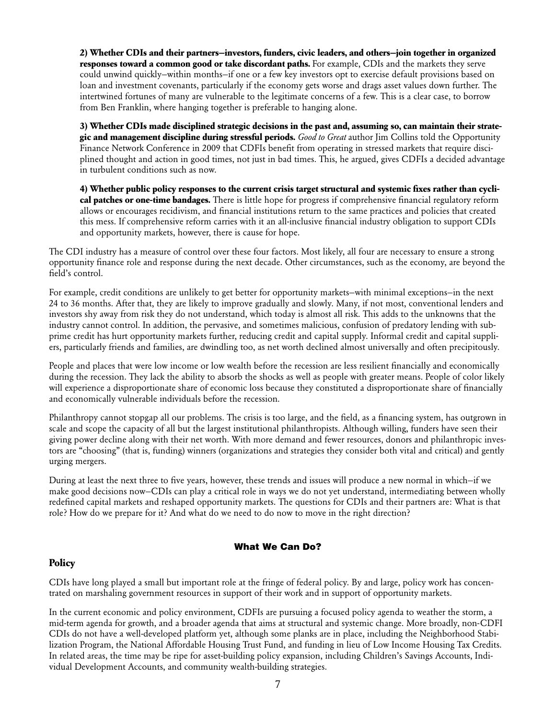**2) Whether CDIs and their partners—investors, funders, civic leaders, and others—join together in organized responses toward a common good or take discordant paths.** For example, CDIs and the markets they serve could unwind quickly—within months—if one or a few key investors opt to exercise default provisions based on loan and investment covenants, particularly if the economy gets worse and drags asset values down further. The intertwined fortunes of many are vulnerable to the legitimate concerns of a few. This is a clear case, to borrow from Ben Franklin, where hanging together is preferable to hanging alone.

**3) Whether CDIs made disciplined strategic decisions in the past and, assuming so, can maintain their strategic and management discipline during stressful periods.** *Good to Great* author Jim Collins told the Opportunity Finance Network Conference in 2009 that CDFIs benefit from operating in stressed markets that require disciplined thought and action in good times, not just in bad times. This, he argued, gives CDFIs a decided advantage in turbulent conditions such as now.

**4) Whether public policy responses to the current crisis target structural and systemic fixes rather than cyclical patches or one-time bandages.** There is little hope for progress if comprehensive financial regulatory reform allows or encourages recidivism, and financial institutions return to the same practices and policies that created this mess. If comprehensive reform carries with it an all-inclusive financial industry obligation to support CDIs and opportunity markets, however, there is cause for hope.

The CDI industry has a measure of control over these four factors. Most likely, all four are necessary to ensure a strong opportunity finance role and response during the next decade. Other circumstances, such as the economy, are beyond the field's control.

For example, credit conditions are unlikely to get better for opportunity markets—with minimal exceptions—in the next 24 to 36 months. After that, they are likely to improve gradually and slowly. Many, if not most, conventional lenders and investors shy away from risk they do not understand, which today is almost all risk. This adds to the unknowns that the industry cannot control. In addition, the pervasive, and sometimes malicious, confusion of predatory lending with subprime credit has hurt opportunity markets further, reducing credit and capital supply. Informal credit and capital suppliers, particularly friends and families, are dwindling too, as net worth declined almost universally and often precipitously.

People and places that were low income or low wealth before the recession are less resilient financially and economically during the recession. They lack the ability to absorb the shocks as well as people with greater means. People of color likely will experience a disproportionate share of economic loss because they constituted a disproportionate share of financially and economically vulnerable individuals before the recession.

Philanthropy cannot stopgap all our problems. The crisis is too large, and the field, as a financing system, has outgrown in scale and scope the capacity of all but the largest institutional philanthropists. Although willing, funders have seen their giving power decline along with their net worth. With more demand and fewer resources, donors and philanthropic investors are "choosing" (that is, funding) winners (organizations and strategies they consider both vital and critical) and gently urging mergers.

During at least the next three to five years, however, these trends and issues will produce a new normal in which—if we make good decisions now—CDIs can play a critical role in ways we do not yet understand, intermediating between wholly redefined capital markets and reshaped opportunity markets. The questions for CDIs and their partners are: What is that role? How do we prepare for it? And what do we need to do now to move in the right direction?

#### What We Can Do?

#### **Policy**

CDIs have long played a small but important role at the fringe of federal policy. By and large, policy work has concentrated on marshaling government resources in support of their work and in support of opportunity markets.

In the current economic and policy environment, CDFIs are pursuing a focused policy agenda to weather the storm, a mid-term agenda for growth, and a broader agenda that aims at structural and systemic change. More broadly, non-CDFI CDIs do not have a well-developed platform yet, although some planks are in place, including the Neighborhood Stabilization Program, the National Affordable Housing Trust Fund, and funding in lieu of Low Income Housing Tax Credits. In related areas, the time may be ripe for asset-building policy expansion, including Children's Savings Accounts, Individual Development Accounts, and community wealth-building strategies.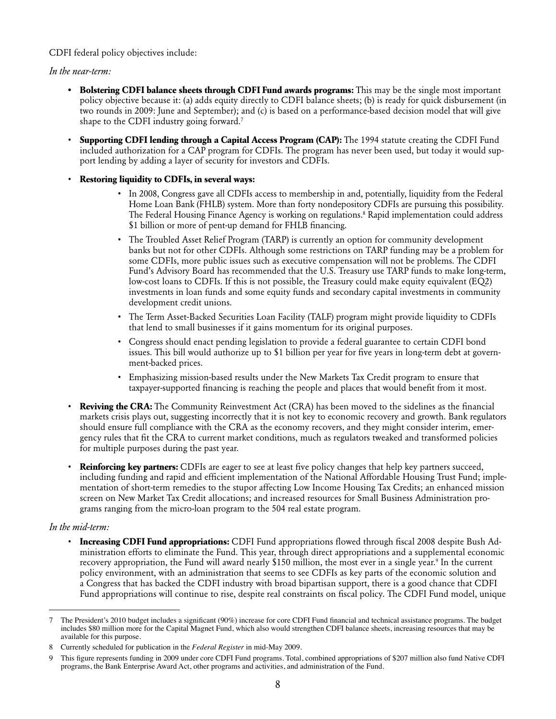CDFI federal policy objectives include:

*In the near-term:*

- **• Bolstering CDFI balance sheets through CDFI Fund awards programs:** This may be the single most important policy objective because it: (a) adds equity directly to CDFI balance sheets; (b) is ready for quick disbursement (in two rounds in 2009: June and September); and (c) is based on a performance-based decision model that will give shape to the CDFI industry going forward.<sup>7</sup>
- • **Supporting CDFI lending through a Capital Access Program (CAP):** The 1994 statute creating the CDFI Fund included authorization for a CAP program for CDFIs. The program has never been used, but today it would support lending by adding a layer of security for investors and CDFIs.
- • **Restoring liquidity to CDFIs, in several ways:**
	- • In 2008, Congress gave all CDFIs access to membership in and, potentially, liquidity from the Federal Home Loan Bank (FHLB) system. More than forty nondepository CDFIs are pursuing this possibility. The Federal Housing Finance Agency is working on regulations.8 Rapid implementation could address \$1 billion or more of pent-up demand for FHLB financing.
	- The Troubled Asset Relief Program (TARP) is currently an option for community development banks but not for other CDFIs. Although some restrictions on TARP funding may be a problem for some CDFIs, more public issues such as executive compensation will not be problems. The CDFI Fund's Advisory Board has recommended that the U.S. Treasury use TARP funds to make long-term, low-cost loans to CDFIs. If this is not possible, the Treasury could make equity equivalent (EQ2) investments in loan funds and some equity funds and secondary capital investments in community development credit unions.
	- • The Term Asset-Backed Securities Loan Facility (TALF) program might provide liquidity to CDFIs that lend to small businesses if it gains momentum for its original purposes.
	- • Congress should enact pending legislation to provide a federal guarantee to certain CDFI bond issues. This bill would authorize up to \$1 billion per year for five years in long-term debt at government-backed prices.
	- • Emphasizing mission-based results under the New Markets Tax Credit program to ensure that taxpayer-supported financing is reaching the people and places that would benefit from it most.
- • **Reviving the CRA:** The Community Reinvestment Act (CRA) has been moved to the sidelines as the financial markets crisis plays out, suggesting incorrectly that it is not key to economic recovery and growth. Bank regulators should ensure full compliance with the CRA as the economy recovers, and they might consider interim, emergency rules that fit the CRA to current market conditions, much as regulators tweaked and transformed policies for multiple purposes during the past year.
- **Reinforcing key partners:** CDFIs are eager to see at least five policy changes that help key partners succeed, including funding and rapid and efficient implementation of the National Affordable Housing Trust Fund; implementation of short-term remedies to the stupor affecting Low Income Housing Tax Credits; an enhanced mission screen on New Market Tax Credit allocations; and increased resources for Small Business Administration programs ranging from the micro-loan program to the 504 real estate program.

#### *In the mid-term:*

**Increasing CDFI Fund appropriations:** CDFI Fund appropriations flowed through fiscal 2008 despite Bush Administration efforts to eliminate the Fund. This year, through direct appropriations and a supplemental economic recovery appropriation, the Fund will award nearly \$150 million, the most ever in a single year.<sup>9</sup> In the current policy environment, with an administration that seems to see CDFIs as key parts of the economic solution and a Congress that has backed the CDFI industry with broad bipartisan support, there is a good chance that CDFI Fund appropriations will continue to rise, despite real constraints on fiscal policy. The CDFI Fund model, unique

The President's 2010 budget includes a significant (90%) increase for core CDFI Fund financial and technical assistance programs. The budget includes \$80 million more for the Capital Magnet Fund, which also would strengthen CDFI balance sheets, increasing resources that may be available for this purpose.

<sup>8</sup> Currently scheduled for publication in the *Federal Register* in mid-May 2009.

This figure represents funding in 2009 under core CDFI Fund programs. Total, combined appropriations of \$207 million also fund Native CDFI programs, the Bank Enterprise Award Act, other programs and activities, and administration of the Fund.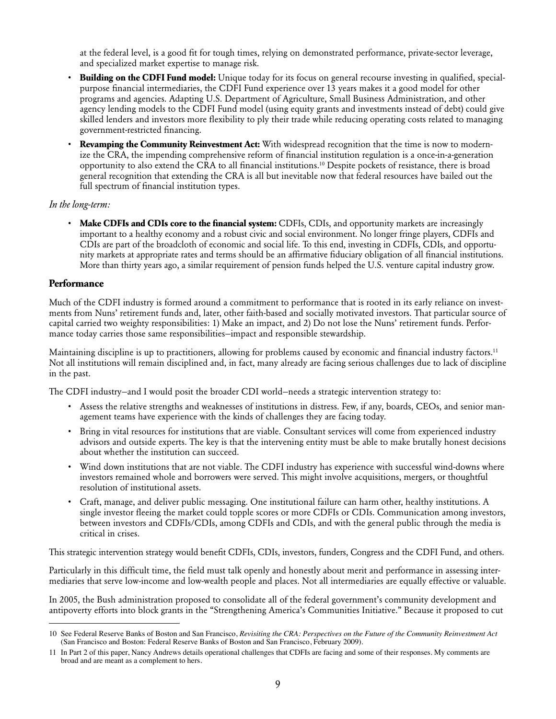at the federal level, is a good fit for tough times, relying on demonstrated performance, private-sector leverage, and specialized market expertise to manage risk.

- **Building on the CDFI Fund model:** Unique today for its focus on general recourse investing in qualified, specialpurpose financial intermediaries, the CDFI Fund experience over 13 years makes it a good model for other programs and agencies. Adapting U.S. Department of Agriculture, Small Business Administration, and other agency lending models to the CDFI Fund model (using equity grants and investments instead of debt) could give skilled lenders and investors more flexibility to ply their trade while reducing operating costs related to managing government-restricted financing.
- **Revamping the Community Reinvestment Act:** With widespread recognition that the time is now to modernize the CRA, the impending comprehensive reform of financial institution regulation is a once-in-a-generation opportunity to also extend the CRA to all financial institutions.10 Despite pockets of resistance, there is broad general recognition that extending the CRA is all but inevitable now that federal resources have bailed out the full spectrum of financial institution types.

#### *In the long-term:*

• **Make CDFIs and CDIs core to the financial system:** CDFIs, CDIs, and opportunity markets are increasingly important to a healthy economy and a robust civic and social environment. No longer fringe players, CDFIs and CDIs are part of the broadcloth of economic and social life. To this end, investing in CDFIs, CDIs, and opportunity markets at appropriate rates and terms should be an affirmative fiduciary obligation of all financial institutions. More than thirty years ago, a similar requirement of pension funds helped the U.S. venture capital industry grow.

#### **Performance**

Much of the CDFI industry is formed around a commitment to performance that is rooted in its early reliance on investments from Nuns' retirement funds and, later, other faith-based and socially motivated investors. That particular source of capital carried two weighty responsibilities: 1) Make an impact, and 2) Do not lose the Nuns' retirement funds. Performance today carries those same responsibilities—impact and responsible stewardship.

Maintaining discipline is up to practitioners, allowing for problems caused by economic and financial industry factors.<sup>11</sup> Not all institutions will remain disciplined and, in fact, many already are facing serious challenges due to lack of discipline in the past.

The CDFI industry—and I would posit the broader CDI world—needs a strategic intervention strategy to:

- • Assess the relative strengths and weaknesses of institutions in distress. Few, if any, boards, CEOs, and senior management teams have experience with the kinds of challenges they are facing today.
- Bring in vital resources for institutions that are viable. Consultant services will come from experienced industry advisors and outside experts. The key is that the intervening entity must be able to make brutally honest decisions about whether the institution can succeed.
- • Wind down institutions that are not viable. The CDFI industry has experience with successful wind-downs where investors remained whole and borrowers were served. This might involve acquisitions, mergers, or thoughtful resolution of institutional assets.
- • Craft, manage, and deliver public messaging. One institutional failure can harm other, healthy institutions. A single investor fleeing the market could topple scores or more CDFIs or CDIs. Communication among investors, between investors and CDFIs/CDIs, among CDFIs and CDIs, and with the general public through the media is critical in crises.

This strategic intervention strategy would benefit CDFIs, CDIs, investors, funders, Congress and the CDFI Fund, and others.

Particularly in this difficult time, the field must talk openly and honestly about merit and performance in assessing intermediaries that serve low-income and low-wealth people and places. Not all intermediaries are equally effective or valuable.

In 2005, the Bush administration proposed to consolidate all of the federal government's community development and antipoverty efforts into block grants in the "Strengthening America's Communities Initiative." Because it proposed to cut

<sup>10</sup> See Federal Reserve Banks of Boston and San Francisco, *Revisiting the CRA: Perspectives on the Future of the Community Reinvestment Act* (San Francisco and Boston: Federal Reserve Banks of Boston and San Francisco, February 2009)*.*

<sup>11</sup> In Part 2 of this paper, Nancy Andrews details operational challenges that CDFIs are facing and some of their responses. My comments are broad and are meant as a complement to hers.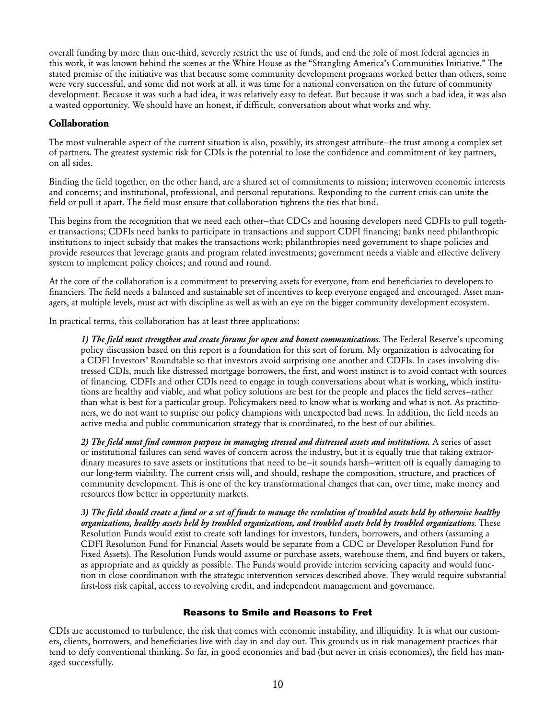overall funding by more than one-third, severely restrict the use of funds, and end the role of most federal agencies in this work, it was known behind the scenes at the White House as the "Strangling America's Communities Initiative." The stated premise of the initiative was that because some community development programs worked better than others, some were very successful, and some did not work at all, it was time for a national conversation on the future of community development. Because it was such a bad idea, it was relatively easy to defeat. But because it was such a bad idea, it was also a wasted opportunity. We should have an honest, if difficult, conversation about what works and why.

#### **Collaboration**

The most vulnerable aspect of the current situation is also, possibly, its strongest attribute—the trust among a complex set of partners. The greatest systemic risk for CDIs is the potential to lose the confidence and commitment of key partners, on all sides.

Binding the field together, on the other hand, are a shared set of commitments to mission; interwoven economic interests and concerns; and institutional, professional, and personal reputations. Responding to the current crisis can unite the field or pull it apart. The field must ensure that collaboration tightens the ties that bind.

This begins from the recognition that we need each other—that CDCs and housing developers need CDFIs to pull together transactions; CDFIs need banks to participate in transactions and support CDFI financing; banks need philanthropic institutions to inject subsidy that makes the transactions work; philanthropies need government to shape policies and provide resources that leverage grants and program related investments; government needs a viable and effective delivery system to implement policy choices; and round and round.

At the core of the collaboration is a commitment to preserving assets for everyone, from end beneficiaries to developers to financiers. The field needs a balanced and sustainable set of incentives to keep everyone engaged and encouraged. Asset managers, at multiple levels, must act with discipline as well as with an eye on the bigger community development ecosystem.

In practical terms, this collaboration has at least three applications:

*1) The field must strengthen and create forums for open and honest communications.* The Federal Reserve's upcoming policy discussion based on this report is a foundation for this sort of forum. My organization is advocating for a CDFI Investors' Roundtable so that investors avoid surprising one another and CDFIs. In cases involving distressed CDIs, much like distressed mortgage borrowers, the first, and worst instinct is to avoid contact with sources of financing. CDFIs and other CDIs need to engage in tough conversations about what is working, which institutions are healthy and viable, and what policy solutions are best for the people and places the field serves—rather than what is best for a particular group. Policymakers need to know what is working and what is not. As practitioners, we do not want to surprise our policy champions with unexpected bad news. In addition, the field needs an active media and public communication strategy that is coordinated, to the best of our abilities.

*2) The field must find common purpose in managing stressed and distressed assets and institutions.* A series of asset or institutional failures can send waves of concern across the industry, but it is equally true that taking extraordinary measures to save assets or institutions that need to be—it sounds harsh—written off is equally damaging to our long-term viability. The current crisis will, and should, reshape the composition, structure, and practices of community development. This is one of the key transformational changes that can, over time, make money and resources flow better in opportunity markets.

*3) The field should create a fund or a set of funds to manage the resolution of troubled assets held by otherwise healthy organizations, healthy assets held by troubled organizations, and troubled assets held by troubled organizations.* These Resolution Funds would exist to create soft landings for investors, funders, borrowers, and others (assuming a CDFI Resolution Fund for Financial Assets would be separate from a CDC or Developer Resolution Fund for Fixed Assets). The Resolution Funds would assume or purchase assets, warehouse them, and find buyers or takers, as appropriate and as quickly as possible. The Funds would provide interim servicing capacity and would function in close coordination with the strategic intervention services described above. They would require substantial first-loss risk capital, access to revolving credit, and independent management and governance.

#### Reasons to Smile and Reasons to Fret

CDIs are accustomed to turbulence, the risk that comes with economic instability, and illiquidity. It is what our customers, clients, borrowers, and beneficiaries live with day in and day out. This grounds us in risk management practices that tend to defy conventional thinking. So far, in good economies and bad (but never in crisis economies), the field has managed successfully.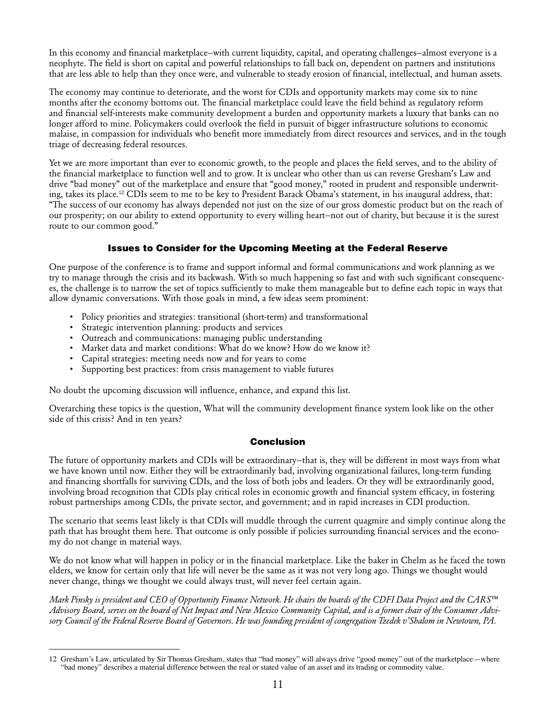In this economy and financial marketplace—with current liquidity, capital, and operating challenges—almost everyone is a neophyte. The field is short on capital and powerful relationships to fall back on, dependent on partners and institutions that are less able to help than they once were, and vulnerable to steady erosion of financial, intellectual, and human assets.

The economy may continue to deteriorate, and the worst for CDIs and opportunity markets may come six to nine months after the economy bottoms out. The financial marketplace could leave the field behind as regulatory reform and financial self-interests make community development a burden and opportunity markets a luxury that banks can no longer afford to mine. Policymakers could overlook the field in pursuit of bigger infrastructure solutions to economic malaise, in compassion for individuals who benefit more immediately from direct resources and services, and in the tough triage of decreasing federal resources.

Yet we are more important than ever to economic growth, to the people and places the field serves, and to the ability of the financial marketplace to function well and to grow. It is unclear who other than us can reverse Gresham's Law and drive "bad money" out of the marketplace and ensure that "good money," rooted in prudent and responsible underwriting, takes its place.12 CDIs seem to me to be key to President Barack Obama's statement, in his inaugural address, that: "The success of our economy has always depended not just on the size of our gross domestic product but on the reach of our prosperity; on our ability to extend opportunity to every willing heart—not out of charity, but because it is the surest route to our common good."

#### Issues to Consider for the Upcoming Meeting at the Federal Reserve

One purpose of the conference is to frame and support informal and formal communications and work planning as we try to manage through the crisis and its backwash. With so much happening so fast and with such significant consequences, the challenge is to narrow the set of topics sufficiently to make them manageable but to define each topic in ways that allow dynamic conversations. With those goals in mind, a few ideas seem prominent:

- Policy priorities and strategies: transitional (short-term) and transformational
- • Strategic intervention planning: products and services
- Outreach and communications: managing public understanding
- Market data and market conditions: What do we know? How do we know it?
- • Capital strategies: meeting needs now and for years to come
- Supporting best practices: from crisis management to viable futures

No doubt the upcoming discussion will influence, enhance, and expand this list.

Overarching these topics is the question, What will the community development finance system look like on the other side of this crisis? And in ten years?

#### Conclusion

The future of opportunity markets and CDIs will be extraordinary—that is, they will be different in most ways from what we have known until now. Either they will be extraordinarily bad, involving organizational failures, long-term funding and financing shortfalls for surviving CDIs, and the loss of both jobs and leaders. Or they will be extraordinarily good, involving broad recognition that CDIs play critical roles in economic growth and financial system efficacy, in fostering robust partnerships among CDIs, the private sector, and government; and in rapid increases in CDI production.

The scenario that seems least likely is that CDIs will muddle through the current quagmire and simply continue along the path that has brought them here. That outcome is only possible if policies surrounding financial services and the economy do not change in material ways.

We do not know what will happen in policy or in the financial marketplace. Like the baker in Chelm as he faced the town elders, we know for certain only that life will never be the same as it was not very long ago. Things we thought would never change, things we thought we could always trust, will never feel certain again.

*Mark Pinsky is president and CEO of Opportunity Finance Network. He chairs the boards of the CDFI Data Project and the CARS™ Advisory Board, serves on the board of Net Impact and New Mexico Community Capital, and is a former chair of the Consumer Advisory Council of the Federal Reserve Board of Governors. He was founding president of congregation Tzedek v'Shalom in Newtown, PA.*

<sup>12</sup> Gresham's Law, articulated by Sir Thomas Gresham, states that "bad money" will always drive "good money" out of the marketplace—where "bad money" describes a material difference between the real or stated value of an asset and its trading or commodity value.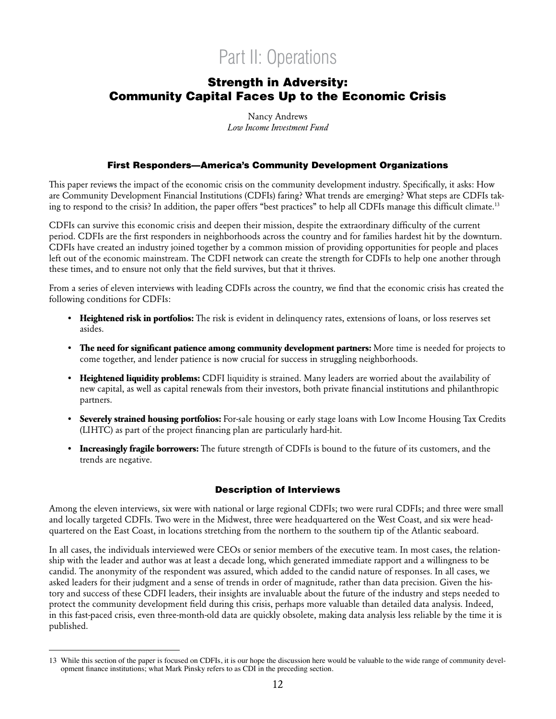# Part II: Operations

### Strength in Adversity: Community Capital Faces Up to the Economic Crisis

Nancy Andrews *Low Income Investment Fund*

#### First Responders—America's Community Development Organizations

This paper reviews the impact of the economic crisis on the community development industry. Specifically, it asks: How are Community Development Financial Institutions (CDFIs) faring? What trends are emerging? What steps are CDFIs taking to respond to the crisis? In addition, the paper offers "best practices" to help all CDFIs manage this difficult climate.13

CDFIs can survive this economic crisis and deepen their mission, despite the extraordinary difficulty of the current period. CDFIs are the first responders in neighborhoods across the country and for families hardest hit by the downturn. CDFIs have created an industry joined together by a common mission of providing opportunities for people and places left out of the economic mainstream. The CDFI network can create the strength for CDFIs to help one another through these times, and to ensure not only that the field survives, but that it thrives.

From a series of eleven interviews with leading CDFIs across the country, we find that the economic crisis has created the following conditions for CDFIs:

- **• Heightened risk in portfolios:** The risk is evident in delinquency rates, extensions of loans, or loss reserves set asides.
- **• The need for significant patience among community development partners:** More time is needed for projects to come together, and lender patience is now crucial for success in struggling neighborhoods.
- **• Heightened liquidity problems:** CDFI liquidity is strained. Many leaders are worried about the availability of new capital, as well as capital renewals from their investors, both private financial institutions and philanthropic partners.
- **• Severely strained housing portfolios:** For-sale housing or early stage loans with Low Income Housing Tax Credits (LIHTC) as part of the project financing plan are particularly hard-hit.
- **• Increasingly fragile borrowers:** The future strength of CDFIs is bound to the future of its customers, and the trends are negative.

#### Description of Interviews

Among the eleven interviews, six were with national or large regional CDFIs; two were rural CDFIs; and three were small and locally targeted CDFIs. Two were in the Midwest, three were headquartered on the West Coast, and six were headquartered on the East Coast, in locations stretching from the northern to the southern tip of the Atlantic seaboard.

In all cases, the individuals interviewed were CEOs or senior members of the executive team. In most cases, the relationship with the leader and author was at least a decade long, which generated immediate rapport and a willingness to be candid. The anonymity of the respondent was assured, which added to the candid nature of responses. In all cases, we asked leaders for their judgment and a sense of trends in order of magnitude, rather than data precision. Given the history and success of these CDFI leaders, their insights are invaluable about the future of the industry and steps needed to protect the community development field during this crisis, perhaps more valuable than detailed data analysis. Indeed, in this fast-paced crisis, even three-month-old data are quickly obsolete, making data analysis less reliable by the time it is published.

<sup>13</sup> While this section of the paper is focused on CDFIs, it is our hope the discussion here would be valuable to the wide range of community development finance institutions; what Mark Pinsky refers to as CDI in the preceding section.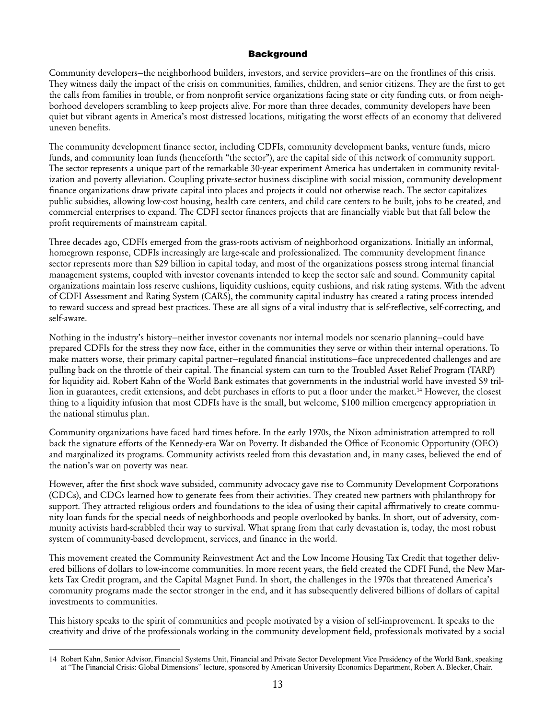#### **Background**

Community developers—the neighborhood builders, investors, and service providers—are on the frontlines of this crisis. They witness daily the impact of the crisis on communities, families, children, and senior citizens. They are the first to get the calls from families in trouble, or from nonprofit service organizations facing state or city funding cuts, or from neighborhood developers scrambling to keep projects alive. For more than three decades, community developers have been quiet but vibrant agents in America's most distressed locations, mitigating the worst effects of an economy that delivered uneven benefits.

The community development finance sector, including CDFIs, community development banks, venture funds, micro funds, and community loan funds (henceforth "the sector"), are the capital side of this network of community support. The sector represents a unique part of the remarkable 30-year experiment America has undertaken in community revitalization and poverty alleviation. Coupling private-sector business discipline with social mission, community development finance organizations draw private capital into places and projects it could not otherwise reach. The sector capitalizes public subsidies, allowing low-cost housing, health care centers, and child care centers to be built, jobs to be created, and commercial enterprises to expand. The CDFI sector finances projects that are financially viable but that fall below the profit requirements of mainstream capital.

Three decades ago, CDFIs emerged from the grass-roots activism of neighborhood organizations. Initially an informal, homegrown response, CDFIs increasingly are large-scale and professionalized. The community development finance sector represents more than \$29 billion in capital today, and most of the organizations possess strong internal financial management systems, coupled with investor covenants intended to keep the sector safe and sound. Community capital organizations maintain loss reserve cushions, liquidity cushions, equity cushions, and risk rating systems. With the advent of CDFI Assessment and Rating System (CARS), the community capital industry has created a rating process intended to reward success and spread best practices. These are all signs of a vital industry that is self-reflective, self-correcting, and self-aware.

Nothing in the industry's history—neither investor covenants nor internal models nor scenario planning—could have prepared CDFIs for the stress they now face, either in the communities they serve or within their internal operations. To make matters worse, their primary capital partner—regulated financial institutions—face unprecedented challenges and are pulling back on the throttle of their capital. The financial system can turn to the Troubled Asset Relief Program (TARP) for liquidity aid. Robert Kahn of the World Bank estimates that governments in the industrial world have invested \$9 trillion in guarantees, credit extensions, and debt purchases in efforts to put a floor under the market.<sup>14</sup> However, the closest thing to a liquidity infusion that most CDFIs have is the small, but welcome, \$100 million emergency appropriation in the national stimulus plan.

Community organizations have faced hard times before. In the early 1970s, the Nixon administration attempted to roll back the signature efforts of the Kennedy-era War on Poverty. It disbanded the Office of Economic Opportunity (OEO) and marginalized its programs. Community activists reeled from this devastation and, in many cases, believed the end of the nation's war on poverty was near.

However, after the first shock wave subsided, community advocacy gave rise to Community Development Corporations (CDCs), and CDCs learned how to generate fees from their activities. They created new partners with philanthropy for support. They attracted religious orders and foundations to the idea of using their capital affirmatively to create community loan funds for the special needs of neighborhoods and people overlooked by banks. In short, out of adversity, community activists hard-scrabbled their way to survival. What sprang from that early devastation is, today, the most robust system of community-based development, services, and finance in the world.

This movement created the Community Reinvestment Act and the Low Income Housing Tax Credit that together delivered billions of dollars to low-income communities. In more recent years, the field created the CDFI Fund, the New Markets Tax Credit program, and the Capital Magnet Fund. In short, the challenges in the 1970s that threatened America's community programs made the sector stronger in the end, and it has subsequently delivered billions of dollars of capital investments to communities.

This history speaks to the spirit of communities and people motivated by a vision of self-improvement. It speaks to the creativity and drive of the professionals working in the community development field, professionals motivated by a social

<sup>14</sup> Robert Kahn, Senior Advisor, Financial Systems Unit, Financial and Private Sector Development Vice Presidency of the World Bank, speaking at "The Financial Crisis: Global Dimensions" lecture, sponsored by American University Economics Department, Robert A. Blecker, Chair.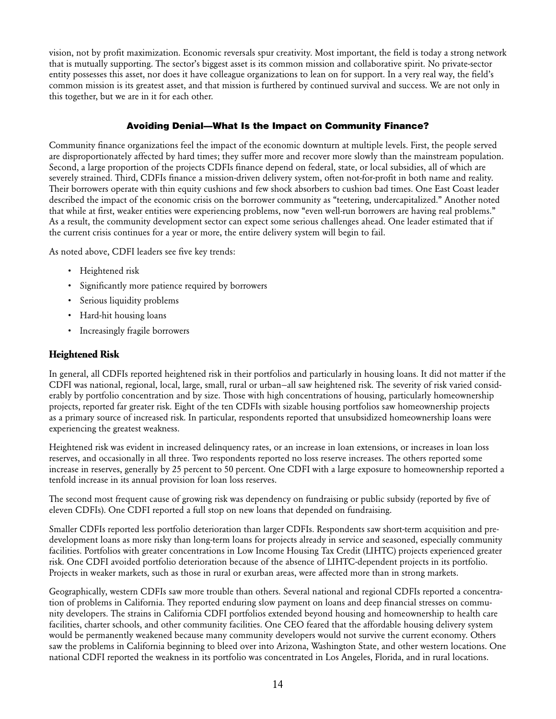vision, not by profit maximization. Economic reversals spur creativity. Most important, the field is today a strong network that is mutually supporting. The sector's biggest asset is its common mission and collaborative spirit. No private-sector entity possesses this asset, nor does it have colleague organizations to lean on for support. In a very real way, the field's common mission is its greatest asset, and that mission is furthered by continued survival and success. We are not only in this together, but we are in it for each other.

#### Avoiding Denial—What Is the Impact on Community Finance?

Community finance organizations feel the impact of the economic downturn at multiple levels. First, the people served are disproportionately affected by hard times; they suffer more and recover more slowly than the mainstream population. Second, a large proportion of the projects CDFIs finance depend on federal, state, or local subsidies, all of which are severely strained. Third, CDFIs finance a mission-driven delivery system, often not-for-profit in both name and reality. Their borrowers operate with thin equity cushions and few shock absorbers to cushion bad times. One East Coast leader described the impact of the economic crisis on the borrower community as "teetering, undercapitalized." Another noted that while at first, weaker entities were experiencing problems, now "even well-run borrowers are having real problems." As a result, the community development sector can expect some serious challenges ahead. One leader estimated that if the current crisis continues for a year or more, the entire delivery system will begin to fail.

As noted above, CDFI leaders see five key trends:

- • Heightened risk
- Significantly more patience required by borrowers
- • Serious liquidity problems
- Hard-hit housing loans
- • Increasingly fragile borrowers

#### **Heightened Risk**

In general, all CDFIs reported heightened risk in their portfolios and particularly in housing loans. It did not matter if the CDFI was national, regional, local, large, small, rural or urban—all saw heightened risk. The severity of risk varied considerably by portfolio concentration and by size. Those with high concentrations of housing, particularly homeownership projects, reported far greater risk. Eight of the ten CDFIs with sizable housing portfolios saw homeownership projects as a primary source of increased risk. In particular, respondents reported that unsubsidized homeownership loans were experiencing the greatest weakness.

Heightened risk was evident in increased delinquency rates, or an increase in loan extensions, or increases in loan loss reserves, and occasionally in all three. Two respondents reported no loss reserve increases. The others reported some increase in reserves, generally by 25 percent to 50 percent. One CDFI with a large exposure to homeownership reported a tenfold increase in its annual provision for loan loss reserves.

The second most frequent cause of growing risk was dependency on fundraising or public subsidy (reported by five of eleven CDFIs). One CDFI reported a full stop on new loans that depended on fundraising.

Smaller CDFIs reported less portfolio deterioration than larger CDFIs. Respondents saw short-term acquisition and predevelopment loans as more risky than long-term loans for projects already in service and seasoned, especially community facilities. Portfolios with greater concentrations in Low Income Housing Tax Credit (LIHTC) projects experienced greater risk. One CDFI avoided portfolio deterioration because of the absence of LIHTC-dependent projects in its portfolio. Projects in weaker markets, such as those in rural or exurban areas, were affected more than in strong markets.

Geographically, western CDFIs saw more trouble than others. Several national and regional CDFIs reported a concentration of problems in California. They reported enduring slow payment on loans and deep financial stresses on community developers. The strains in California CDFI portfolios extended beyond housing and homeownership to health care facilities, charter schools, and other community facilities. One CEO feared that the affordable housing delivery system would be permanently weakened because many community developers would not survive the current economy. Others saw the problems in California beginning to bleed over into Arizona, Washington State, and other western locations. One national CDFI reported the weakness in its portfolio was concentrated in Los Angeles, Florida, and in rural locations.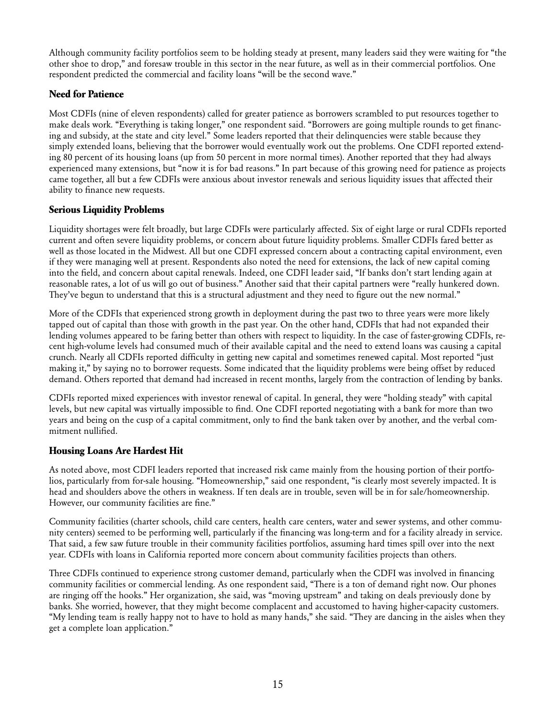Although community facility portfolios seem to be holding steady at present, many leaders said they were waiting for "the other shoe to drop," and foresaw trouble in this sector in the near future, as well as in their commercial portfolios. One respondent predicted the commercial and facility loans "will be the second wave."

#### **Need for Patience**

Most CDFIs (nine of eleven respondents) called for greater patience as borrowers scrambled to put resources together to make deals work. "Everything is taking longer," one respondent said. "Borrowers are going multiple rounds to get financing and subsidy, at the state and city level." Some leaders reported that their delinquencies were stable because they simply extended loans, believing that the borrower would eventually work out the problems. One CDFI reported extending 80 percent of its housing loans (up from 50 percent in more normal times). Another reported that they had always experienced many extensions, but "now it is for bad reasons." In part because of this growing need for patience as projects came together, all but a few CDFIs were anxious about investor renewals and serious liquidity issues that affected their ability to finance new requests.

#### **Serious Liquidity Problems**

Liquidity shortages were felt broadly, but large CDFIs were particularly affected. Six of eight large or rural CDFIs reported current and often severe liquidity problems, or concern about future liquidity problems. Smaller CDFIs fared better as well as those located in the Midwest. All but one CDFI expressed concern about a contracting capital environment, even if they were managing well at present. Respondents also noted the need for extensions, the lack of new capital coming into the field, and concern about capital renewals. Indeed, one CDFI leader said, "If banks don't start lending again at reasonable rates, a lot of us will go out of business." Another said that their capital partners were "really hunkered down. They've begun to understand that this is a structural adjustment and they need to figure out the new normal."

More of the CDFIs that experienced strong growth in deployment during the past two to three years were more likely tapped out of capital than those with growth in the past year. On the other hand, CDFIs that had not expanded their lending volumes appeared to be faring better than others with respect to liquidity. In the case of faster-growing CDFIs, recent high-volume levels had consumed much of their available capital and the need to extend loans was causing a capital crunch. Nearly all CDFIs reported difficulty in getting new capital and sometimes renewed capital. Most reported "just making it," by saying no to borrower requests. Some indicated that the liquidity problems were being offset by reduced demand. Others reported that demand had increased in recent months, largely from the contraction of lending by banks.

CDFIs reported mixed experiences with investor renewal of capital. In general, they were "holding steady" with capital levels, but new capital was virtually impossible to find. One CDFI reported negotiating with a bank for more than two years and being on the cusp of a capital commitment, only to find the bank taken over by another, and the verbal commitment nullified.

#### **Housing Loans Are Hardest Hit**

As noted above, most CDFI leaders reported that increased risk came mainly from the housing portion of their portfolios, particularly from for-sale housing. "Homeownership," said one respondent, "is clearly most severely impacted. It is head and shoulders above the others in weakness. If ten deals are in trouble, seven will be in for sale/homeownership. However, our community facilities are fine."

Community facilities (charter schools, child care centers, health care centers, water and sewer systems, and other community centers) seemed to be performing well, particularly if the financing was long-term and for a facility already in service. That said, a few saw future trouble in their community facilities portfolios, assuming hard times spill over into the next year. CDFIs with loans in California reported more concern about community facilities projects than others.

Three CDFIs continued to experience strong customer demand, particularly when the CDFI was involved in financing community facilities or commercial lending. As one respondent said, "There is a ton of demand right now. Our phones are ringing off the hooks." Her organization, she said, was "moving upstream" and taking on deals previously done by banks. She worried, however, that they might become complacent and accustomed to having higher-capacity customers. "My lending team is really happy not to have to hold as many hands," she said. "They are dancing in the aisles when they get a complete loan application."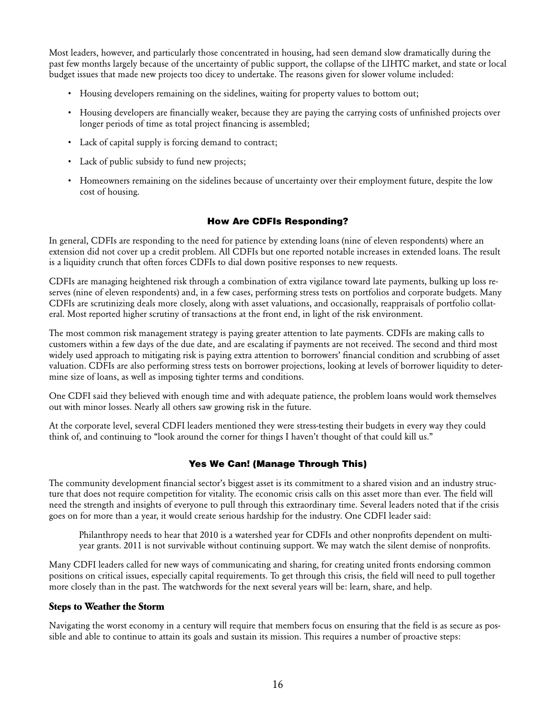Most leaders, however, and particularly those concentrated in housing, had seen demand slow dramatically during the past few months largely because of the uncertainty of public support, the collapse of the LIHTC market, and state or local budget issues that made new projects too dicey to undertake. The reasons given for slower volume included:

- Housing developers remaining on the sidelines, waiting for property values to bottom out;
- • Housing developers are financially weaker, because they are paying the carrying costs of unfinished projects over longer periods of time as total project financing is assembled;
- Lack of capital supply is forcing demand to contract;
- Lack of public subsidy to fund new projects;
- • Homeowners remaining on the sidelines because of uncertainty over their employment future, despite the low cost of housing.

#### How Are CDFIs Responding?

In general, CDFIs are responding to the need for patience by extending loans (nine of eleven respondents) where an extension did not cover up a credit problem. All CDFIs but one reported notable increases in extended loans. The result is a liquidity crunch that often forces CDFIs to dial down positive responses to new requests.

CDFIs are managing heightened risk through a combination of extra vigilance toward late payments, bulking up loss reserves (nine of eleven respondents) and, in a few cases, performing stress tests on portfolios and corporate budgets. Many CDFIs are scrutinizing deals more closely, along with asset valuations, and occasionally, reappraisals of portfolio collateral. Most reported higher scrutiny of transactions at the front end, in light of the risk environment.

The most common risk management strategy is paying greater attention to late payments. CDFIs are making calls to customers within a few days of the due date, and are escalating if payments are not received. The second and third most widely used approach to mitigating risk is paying extra attention to borrowers' financial condition and scrubbing of asset valuation. CDFIs are also performing stress tests on borrower projections, looking at levels of borrower liquidity to determine size of loans, as well as imposing tighter terms and conditions.

One CDFI said they believed with enough time and with adequate patience, the problem loans would work themselves out with minor losses. Nearly all others saw growing risk in the future.

At the corporate level, several CDFI leaders mentioned they were stress-testing their budgets in every way they could think of, and continuing to "look around the corner for things I haven't thought of that could kill us."

#### Yes We Can! (Manage Through This)

The community development financial sector's biggest asset is its commitment to a shared vision and an industry structure that does not require competition for vitality. The economic crisis calls on this asset more than ever. The field will need the strength and insights of everyone to pull through this extraordinary time. Several leaders noted that if the crisis goes on for more than a year, it would create serious hardship for the industry. One CDFI leader said:

Philanthropy needs to hear that 2010 is a watershed year for CDFIs and other nonprofits dependent on multiyear grants. 2011 is not survivable without continuing support. We may watch the silent demise of nonprofits.

Many CDFI leaders called for new ways of communicating and sharing, for creating united fronts endorsing common positions on critical issues, especially capital requirements. To get through this crisis, the field will need to pull together more closely than in the past. The watchwords for the next several years will be: learn, share, and help.

#### **Steps to Weather the Storm**

Navigating the worst economy in a century will require that members focus on ensuring that the field is as secure as possible and able to continue to attain its goals and sustain its mission. This requires a number of proactive steps: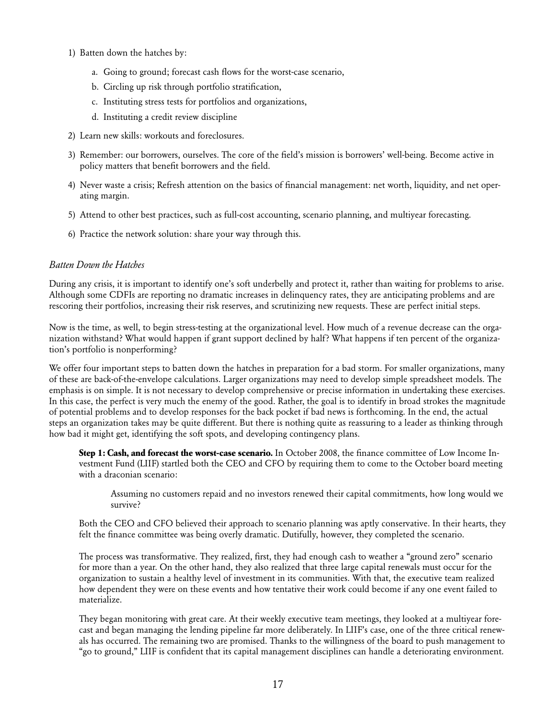- 1) Batten down the hatches by:
	- a. Going to ground; forecast cash flows for the worst-case scenario,
	- b. Circling up risk through portfolio stratification,
	- c. Instituting stress tests for portfolios and organizations,
	- d. Instituting a credit review discipline
- 2) Learn new skills: workouts and foreclosures.
- 3) Remember: our borrowers, ourselves. The core of the field's mission is borrowers' well-being. Become active in policy matters that benefit borrowers and the field.
- 4) Never waste a crisis; Refresh attention on the basics of financial management: net worth, liquidity, and net operating margin.
- 5) Attend to other best practices, such as full-cost accounting, scenario planning, and multiyear forecasting.
- 6) Practice the network solution: share your way through this.

#### *Batten Down the Hatches*

During any crisis, it is important to identify one's soft underbelly and protect it, rather than waiting for problems to arise. Although some CDFIs are reporting no dramatic increases in delinquency rates, they are anticipating problems and are rescoring their portfolios, increasing their risk reserves, and scrutinizing new requests. These are perfect initial steps.

Now is the time, as well, to begin stress-testing at the organizational level. How much of a revenue decrease can the organization withstand? What would happen if grant support declined by half? What happens if ten percent of the organization's portfolio is nonperforming?

We offer four important steps to batten down the hatches in preparation for a bad storm. For smaller organizations, many of these are back-of-the-envelope calculations. Larger organizations may need to develop simple spreadsheet models. The emphasis is on simple. It is not necessary to develop comprehensive or precise information in undertaking these exercises. In this case, the perfect is very much the enemy of the good. Rather, the goal is to identify in broad strokes the magnitude of potential problems and to develop responses for the back pocket if bad news is forthcoming. In the end, the actual steps an organization takes may be quite different. But there is nothing quite as reassuring to a leader as thinking through how bad it might get, identifying the soft spots, and developing contingency plans.

**Step 1: Cash, and forecast the worst-case scenario.** In October 2008, the finance committee of Low Income Investment Fund (LIIF) startled both the CEO and CFO by requiring them to come to the October board meeting with a draconian scenario:

Assuming no customers repaid and no investors renewed their capital commitments, how long would we survive?

Both the CEO and CFO believed their approach to scenario planning was aptly conservative. In their hearts, they felt the finance committee was being overly dramatic. Dutifully, however, they completed the scenario.

The process was transformative. They realized, first, they had enough cash to weather a "ground zero" scenario for more than a year. On the other hand, they also realized that three large capital renewals must occur for the organization to sustain a healthy level of investment in its communities. With that, the executive team realized how dependent they were on these events and how tentative their work could become if any one event failed to materialize.

They began monitoring with great care. At their weekly executive team meetings, they looked at a multiyear forecast and began managing the lending pipeline far more deliberately. In LIIF's case, one of the three critical renewals has occurred. The remaining two are promised. Thanks to the willingness of the board to push management to "go to ground," LIIF is confident that its capital management disciplines can handle a deteriorating environment.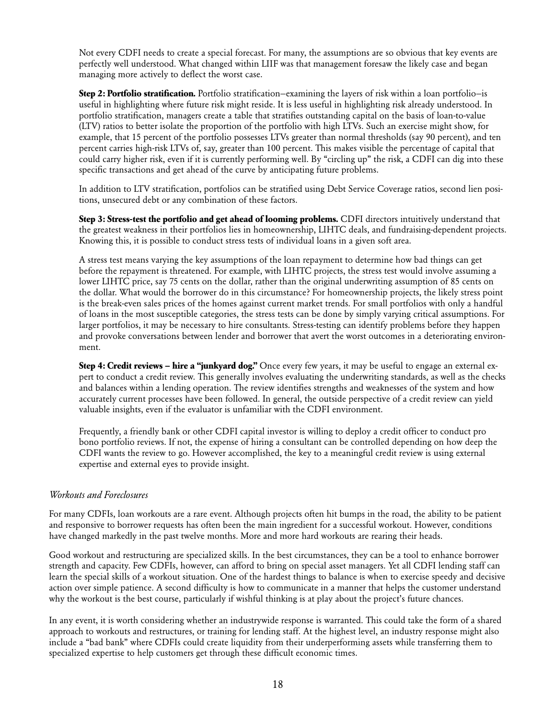Not every CDFI needs to create a special forecast. For many, the assumptions are so obvious that key events are perfectly well understood. What changed within LIIF was that management foresaw the likely case and began managing more actively to deflect the worst case.

**Step 2: Portfolio stratification.** Portfolio stratification—examining the layers of risk within a loan portfolio—is useful in highlighting where future risk might reside. It is less useful in highlighting risk already understood. In portfolio stratification, managers create a table that stratifies outstanding capital on the basis of loan-to-value (LTV) ratios to better isolate the proportion of the portfolio with high LTVs. Such an exercise might show, for example, that 15 percent of the portfolio possesses LTVs greater than normal thresholds (say 90 percent), and ten percent carries high-risk LTVs of, say, greater than 100 percent. This makes visible the percentage of capital that could carry higher risk, even if it is currently performing well. By "circling up" the risk, a CDFI can dig into these specific transactions and get ahead of the curve by anticipating future problems.

In addition to LTV stratification, portfolios can be stratified using Debt Service Coverage ratios, second lien positions, unsecured debt or any combination of these factors.

**Step 3: Stress-test the portfolio and get ahead of looming problems.** CDFI directors intuitively understand that the greatest weakness in their portfolios lies in homeownership, LIHTC deals, and fundraising-dependent projects. Knowing this, it is possible to conduct stress tests of individual loans in a given soft area.

A stress test means varying the key assumptions of the loan repayment to determine how bad things can get before the repayment is threatened. For example, with LIHTC projects, the stress test would involve assuming a lower LIHTC price, say 75 cents on the dollar, rather than the original underwriting assumption of 85 cents on the dollar. What would the borrower do in this circumstance? For homeownership projects, the likely stress point is the break-even sales prices of the homes against current market trends. For small portfolios with only a handful of loans in the most susceptible categories, the stress tests can be done by simply varying critical assumptions. For larger portfolios, it may be necessary to hire consultants. Stress-testing can identify problems before they happen and provoke conversations between lender and borrower that avert the worst outcomes in a deteriorating environment.

**Step 4: Credit reviews – hire a "junkyard dog."** Once every few years, it may be useful to engage an external expert to conduct a credit review. This generally involves evaluating the underwriting standards, as well as the checks and balances within a lending operation. The review identifies strengths and weaknesses of the system and how accurately current processes have been followed. In general, the outside perspective of a credit review can yield valuable insights, even if the evaluator is unfamiliar with the CDFI environment.

Frequently, a friendly bank or other CDFI capital investor is willing to deploy a credit officer to conduct pro bono portfolio reviews. If not, the expense of hiring a consultant can be controlled depending on how deep the CDFI wants the review to go. However accomplished, the key to a meaningful credit review is using external expertise and external eyes to provide insight.

#### *Workouts and Foreclosures*

For many CDFIs, loan workouts are a rare event. Although projects often hit bumps in the road, the ability to be patient and responsive to borrower requests has often been the main ingredient for a successful workout. However, conditions have changed markedly in the past twelve months. More and more hard workouts are rearing their heads.

Good workout and restructuring are specialized skills. In the best circumstances, they can be a tool to enhance borrower strength and capacity. Few CDFIs, however, can afford to bring on special asset managers. Yet all CDFI lending staff can learn the special skills of a workout situation. One of the hardest things to balance is when to exercise speedy and decisive action over simple patience. A second difficulty is how to communicate in a manner that helps the customer understand why the workout is the best course, particularly if wishful thinking is at play about the project's future chances.

In any event, it is worth considering whether an industrywide response is warranted. This could take the form of a shared approach to workouts and restructures, or training for lending staff. At the highest level, an industry response might also include a "bad bank" where CDFIs could create liquidity from their underperforming assets while transferring them to specialized expertise to help customers get through these difficult economic times.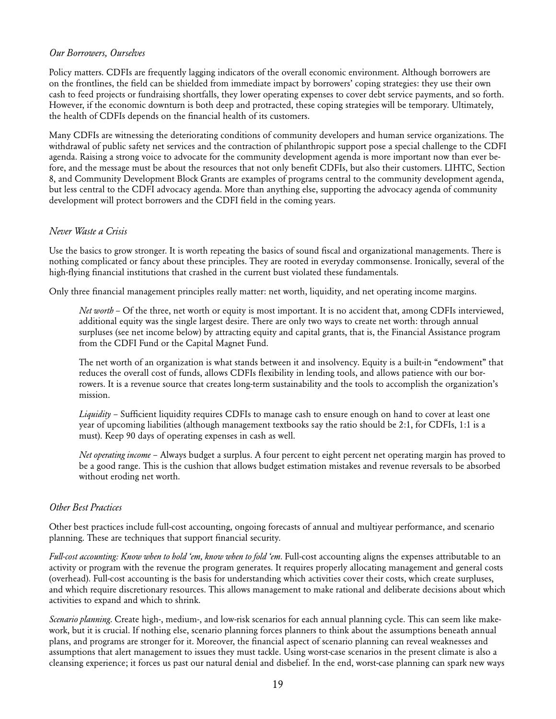#### *Our Borrowers, Ourselves*

Policy matters. CDFIs are frequently lagging indicators of the overall economic environment. Although borrowers are on the frontlines, the field can be shielded from immediate impact by borrowers' coping strategies: they use their own cash to feed projects or fundraising shortfalls, they lower operating expenses to cover debt service payments, and so forth. However, if the economic downturn is both deep and protracted, these coping strategies will be temporary. Ultimately, the health of CDFIs depends on the financial health of its customers.

Many CDFIs are witnessing the deteriorating conditions of community developers and human service organizations. The withdrawal of public safety net services and the contraction of philanthropic support pose a special challenge to the CDFI agenda. Raising a strong voice to advocate for the community development agenda is more important now than ever before, and the message must be about the resources that not only benefit CDFIs, but also their customers. LIHTC, Section 8, and Community Development Block Grants are examples of programs central to the community development agenda, but less central to the CDFI advocacy agenda. More than anything else, supporting the advocacy agenda of community development will protect borrowers and the CDFI field in the coming years.

#### *Never Waste a Crisis*

Use the basics to grow stronger. It is worth repeating the basics of sound fiscal and organizational managements. There is nothing complicated or fancy about these principles. They are rooted in everyday commonsense. Ironically, several of the high-flying financial institutions that crashed in the current bust violated these fundamentals.

Only three financial management principles really matter: net worth, liquidity, and net operating income margins.

*Net worth* – Of the three, net worth or equity is most important. It is no accident that, among CDFIs interviewed, additional equity was the single largest desire. There are only two ways to create net worth: through annual surpluses (see net income below) by attracting equity and capital grants, that is, the Financial Assistance program from the CDFI Fund or the Capital Magnet Fund.

The net worth of an organization is what stands between it and insolvency. Equity is a built-in "endowment" that reduces the overall cost of funds, allows CDFIs flexibility in lending tools, and allows patience with our borrowers. It is a revenue source that creates long-term sustainability and the tools to accomplish the organization's mission.

*Liquidity* – Sufficient liquidity requires CDFIs to manage cash to ensure enough on hand to cover at least one year of upcoming liabilities (although management textbooks say the ratio should be 2:1, for CDFIs, 1:1 is a must). Keep 90 days of operating expenses in cash as well.

*Net operating income* – Always budget a surplus. A four percent to eight percent net operating margin has proved to be a good range. This is the cushion that allows budget estimation mistakes and revenue reversals to be absorbed without eroding net worth.

#### *Other Best Practices*

Other best practices include full-cost accounting, ongoing forecasts of annual and multiyear performance, and scenario planning. These are techniques that support financial security.

Full-cost accounting: Know when to hold 'em, know when to fold 'em. Full-cost accounting aligns the expenses attributable to an activity or program with the revenue the program generates. It requires properly allocating management and general costs (overhead). Full-cost accounting is the basis for understanding which activities cover their costs, which create surpluses, and which require discretionary resources. This allows management to make rational and deliberate decisions about which activities to expand and which to shrink.

*Scenario planning.* Create high-, medium-, and low-risk scenarios for each annual planning cycle. This can seem like makework, but it is crucial. If nothing else, scenario planning forces planners to think about the assumptions beneath annual plans, and programs are stronger for it. Moreover, the financial aspect of scenario planning can reveal weaknesses and assumptions that alert management to issues they must tackle. Using worst-case scenarios in the present climate is also a cleansing experience; it forces us past our natural denial and disbelief. In the end, worst-case planning can spark new ways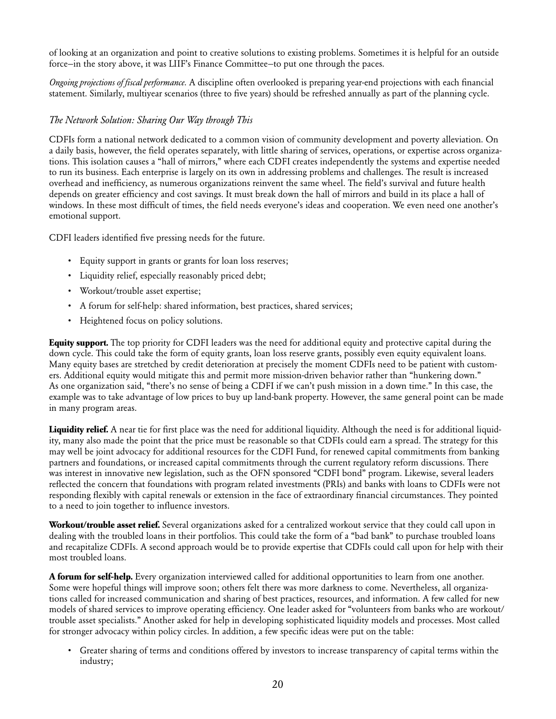of looking at an organization and point to creative solutions to existing problems. Sometimes it is helpful for an outside force—in the story above, it was LIIF's Finance Committee—to put one through the paces.

*Ongoing projections of fiscal performance.* A discipline often overlooked is preparing year-end projections with each financial statement. Similarly, multiyear scenarios (three to five years) should be refreshed annually as part of the planning cycle.

#### *The Network Solution: Sharing Our Way through This*

CDFIs form a national network dedicated to a common vision of community development and poverty alleviation. On a daily basis, however, the field operates separately, with little sharing of services, operations, or expertise across organizations. This isolation causes a "hall of mirrors," where each CDFI creates independently the systems and expertise needed to run its business. Each enterprise is largely on its own in addressing problems and challenges. The result is increased overhead and inefficiency, as numerous organizations reinvent the same wheel. The field's survival and future health depends on greater efficiency and cost savings. It must break down the hall of mirrors and build in its place a hall of windows. In these most difficult of times, the field needs everyone's ideas and cooperation. We even need one another's emotional support.

CDFI leaders identified five pressing needs for the future.

- Equity support in grants or grants for loan loss reserves;
- Liquidity relief, especially reasonably priced debt;
- Workout/trouble asset expertise;
- A forum for self-help: shared information, best practices, shared services;
- • Heightened focus on policy solutions.

**Equity support.** The top priority for CDFI leaders was the need for additional equity and protective capital during the down cycle. This could take the form of equity grants, loan loss reserve grants, possibly even equity equivalent loans. Many equity bases are stretched by credit deterioration at precisely the moment CDFIs need to be patient with customers. Additional equity would mitigate this and permit more mission-driven behavior rather than "hunkering down." As one organization said, "there's no sense of being a CDFI if we can't push mission in a down time." In this case, the example was to take advantage of low prices to buy up land-bank property. However, the same general point can be made in many program areas.

**Liquidity relief.** A near tie for first place was the need for additional liquidity. Although the need is for additional liquidity, many also made the point that the price must be reasonable so that CDFIs could earn a spread. The strategy for this may well be joint advocacy for additional resources for the CDFI Fund, for renewed capital commitments from banking partners and foundations, or increased capital commitments through the current regulatory reform discussions. There was interest in innovative new legislation, such as the OFN sponsored "CDFI bond" program. Likewise, several leaders reflected the concern that foundations with program related investments (PRIs) and banks with loans to CDFIs were not responding flexibly with capital renewals or extension in the face of extraordinary financial circumstances. They pointed to a need to join together to influence investors.

**Workout/trouble asset relief.** Several organizations asked for a centralized workout service that they could call upon in dealing with the troubled loans in their portfolios. This could take the form of a "bad bank" to purchase troubled loans and recapitalize CDFIs. A second approach would be to provide expertise that CDFIs could call upon for help with their most troubled loans.

**A forum for self-help.** Every organization interviewed called for additional opportunities to learn from one another. Some were hopeful things will improve soon; others felt there was more darkness to come. Nevertheless, all organizations called for increased communication and sharing of best practices, resources, and information. A few called for new models of shared services to improve operating efficiency. One leader asked for "volunteers from banks who are workout/ trouble asset specialists." Another asked for help in developing sophisticated liquidity models and processes. Most called for stronger advocacy within policy circles. In addition, a few specific ideas were put on the table:

• Greater sharing of terms and conditions offered by investors to increase transparency of capital terms within the industry;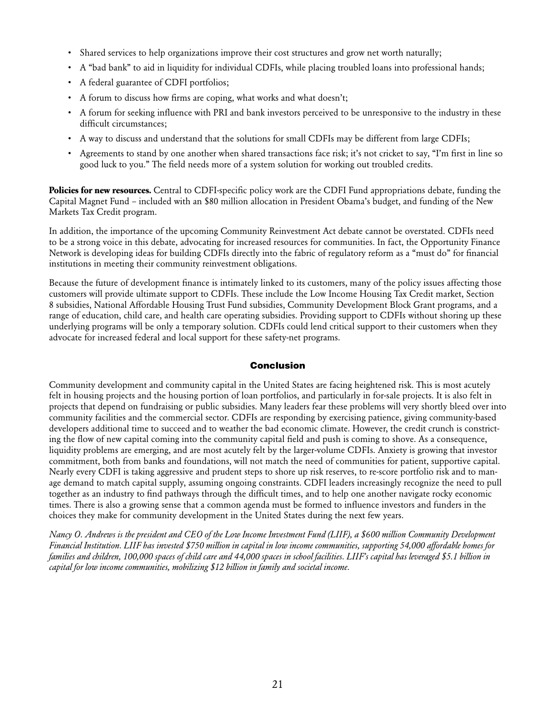- • Shared services to help organizations improve their cost structures and grow net worth naturally;
- • A "bad bank" to aid in liquidity for individual CDFIs, while placing troubled loans into professional hands;
- • A federal guarantee of CDFI portfolios;
- A forum to discuss how firms are coping, what works and what doesn't;
- • A forum for seeking influence with PRI and bank investors perceived to be unresponsive to the industry in these difficult circumstances;
- • A way to discuss and understand that the solutions for small CDFIs may be different from large CDFIs;
- • Agreements to stand by one another when shared transactions face risk; it's not cricket to say, "I'm first in line so good luck to you." The field needs more of a system solution for working out troubled credits.

**Policies for new resources.** Central to CDFI-specific policy work are the CDFI Fund appropriations debate, funding the Capital Magnet Fund – included with an \$80 million allocation in President Obama's budget, and funding of the New Markets Tax Credit program.

In addition, the importance of the upcoming Community Reinvestment Act debate cannot be overstated. CDFIs need to be a strong voice in this debate, advocating for increased resources for communities. In fact, the Opportunity Finance Network is developing ideas for building CDFIs directly into the fabric of regulatory reform as a "must do" for financial institutions in meeting their community reinvestment obligations.

Because the future of development finance is intimately linked to its customers, many of the policy issues affecting those customers will provide ultimate support to CDFIs. These include the Low Income Housing Tax Credit market, Section 8 subsidies, National Affordable Housing Trust Fund subsidies, Community Development Block Grant programs, and a range of education, child care, and health care operating subsidies. Providing support to CDFIs without shoring up these underlying programs will be only a temporary solution. CDFIs could lend critical support to their customers when they advocate for increased federal and local support for these safety-net programs.

#### Conclusion

Community development and community capital in the United States are facing heightened risk. This is most acutely felt in housing projects and the housing portion of loan portfolios, and particularly in for-sale projects. It is also felt in projects that depend on fundraising or public subsidies. Many leaders fear these problems will very shortly bleed over into community facilities and the commercial sector. CDFIs are responding by exercising patience, giving community-based developers additional time to succeed and to weather the bad economic climate. However, the credit crunch is constricting the flow of new capital coming into the community capital field and push is coming to shove. As a consequence, liquidity problems are emerging, and are most acutely felt by the larger-volume CDFIs. Anxiety is growing that investor commitment, both from banks and foundations, will not match the need of communities for patient, supportive capital. Nearly every CDFI is taking aggressive and prudent steps to shore up risk reserves, to re-score portfolio risk and to manage demand to match capital supply, assuming ongoing constraints. CDFI leaders increasingly recognize the need to pull together as an industry to find pathways through the difficult times, and to help one another navigate rocky economic times. There is also a growing sense that a common agenda must be formed to influence investors and funders in the choices they make for community development in the United States during the next few years.

*Nancy O. Andrews is the president and CEO of the Low Income Investment Fund (LIIF), a \$600 million Community Development Financial Institution. LIIF has invested \$750 million in capital in low income communities, supporting 54,000 affordable homes for families and children, 100,000 spaces of child care and 44,000 spaces in school facilities. LIIF's capital has leveraged \$5.1 billion in capital for low income communities, mobilizing \$12 billion in family and societal income.*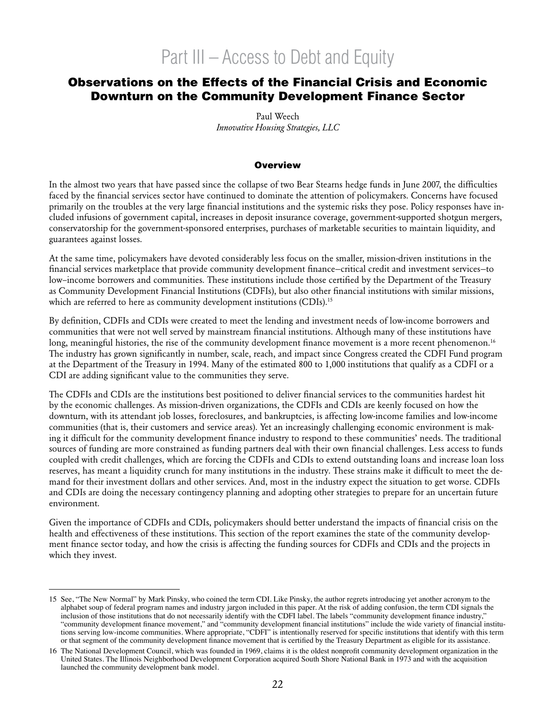# Part III – Access to Debt and Equity

### Observations on the Effects of the Financial Crisis and Economic Downturn on the Community Development Finance Sector

Paul Weech *Innovative Housing Strategies, LLC*

#### **Overview**

In the almost two years that have passed since the collapse of two Bear Stearns hedge funds in June 2007, the difficulties faced by the financial services sector have continued to dominate the attention of policymakers. Concerns have focused primarily on the troubles at the very large financial institutions and the systemic risks they pose. Policy responses have included infusions of government capital, increases in deposit insurance coverage, government-supported shotgun mergers, conservatorship for the government-sponsored enterprises, purchases of marketable securities to maintain liquidity, and guarantees against losses.

At the same time, policymakers have devoted considerably less focus on the smaller, mission-driven institutions in the financial services marketplace that provide community development finance—critical credit and investment services—to low–income borrowers and communities. These institutions include those certified by the Department of the Treasury as Community Development Financial Institutions (CDFIs), but also other financial institutions with similar missions, which are referred to here as community development institutions (CDIs).<sup>15</sup>

By definition, CDFIs and CDIs were created to meet the lending and investment needs of low-income borrowers and communities that were not well served by mainstream financial institutions. Although many of these institutions have long, meaningful histories, the rise of the community development finance movement is a more recent phenomenon.<sup>16</sup> The industry has grown significantly in number, scale, reach, and impact since Congress created the CDFI Fund program at the Department of the Treasury in 1994. Many of the estimated 800 to 1,000 institutions that qualify as a CDFI or a CDI are adding significant value to the communities they serve.

The CDFIs and CDIs are the institutions best positioned to deliver financial services to the communities hardest hit by the economic challenges. As mission-driven organizations, the CDFIs and CDIs are keenly focused on how the downturn, with its attendant job losses, foreclosures, and bankruptcies, is affecting low-income families and low-income communities (that is, their customers and service areas). Yet an increasingly challenging economic environment is making it difficult for the community development finance industry to respond to these communities' needs. The traditional sources of funding are more constrained as funding partners deal with their own financial challenges. Less access to funds coupled with credit challenges, which are forcing the CDFIs and CDIs to extend outstanding loans and increase loan loss reserves, has meant a liquidity crunch for many institutions in the industry. These strains make it difficult to meet the demand for their investment dollars and other services. And, most in the industry expect the situation to get worse. CDFIs and CDIs are doing the necessary contingency planning and adopting other strategies to prepare for an uncertain future environment.

Given the importance of CDFIs and CDIs, policymakers should better understand the impacts of financial crisis on the health and effectiveness of these institutions. This section of the report examines the state of the community development finance sector today, and how the crisis is affecting the funding sources for CDFIs and CDIs and the projects in which they invest.

<sup>15</sup> See, "The New Normal" by Mark Pinsky, who coined the term CDI. Like Pinsky, the author regrets introducing yet another acronym to the alphabet soup of federal program names and industry jargon included in this paper. At the risk of adding confusion, the term CDI signals the inclusion of those institutions that do not necessarily identify with the CDFI label. The labels "community development finance industry," "community development finance movement," and "community development financial institutions" include the wide variety of financial institutions serving low-income communities. Where appropriate, "CDFI" is intentionally reserved for specific institutions that identify with this term or that segment of the community development finance movement that is certified by the Treasury Department as eligible for its assistance.

<sup>16</sup> The National Development Council, which was founded in 1969, claims it is the oldest nonprofit community development organization in the United States. The Illinois Neighborhood Development Corporation acquired South Shore National Bank in 1973 and with the acquisition launched the community development bank model.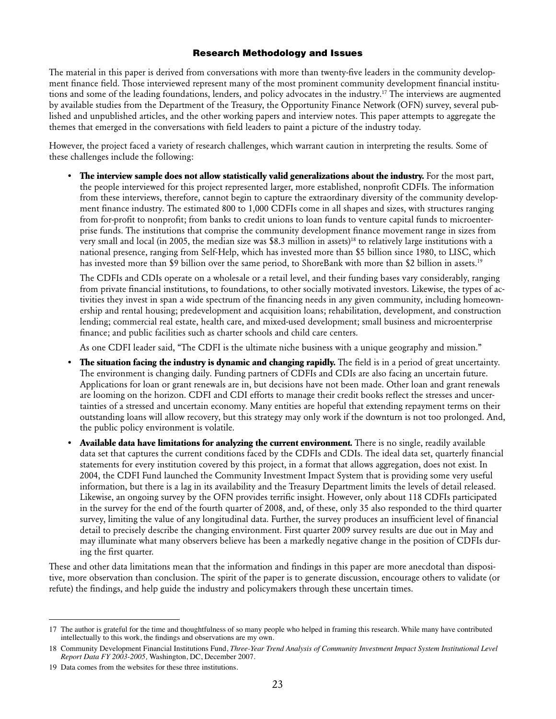#### Research Methodology and Issues

The material in this paper is derived from conversations with more than twenty-five leaders in the community development finance field. Those interviewed represent many of the most prominent community development financial institutions and some of the leading foundations, lenders, and policy advocates in the industry.17 The interviews are augmented by available studies from the Department of the Treasury, the Opportunity Finance Network (OFN) survey, several published and unpublished articles, and the other working papers and interview notes. This paper attempts to aggregate the themes that emerged in the conversations with field leaders to paint a picture of the industry today.

However, the project faced a variety of research challenges, which warrant caution in interpreting the results. Some of these challenges include the following:

**• The interview sample does not allow statistically valid generalizations about the industry.** For the most part, the people interviewed for this project represented larger, more established, nonprofit CDFIs. The information from these interviews, therefore, cannot begin to capture the extraordinary diversity of the community development finance industry. The estimated 800 to 1,000 CDFIs come in all shapes and sizes, with structures ranging from for-profit to nonprofit; from banks to credit unions to loan funds to venture capital funds to microenterprise funds. The institutions that comprise the community development finance movement range in sizes from very small and local (in 2005, the median size was \$8.3 million in assets)<sup>18</sup> to relatively large institutions with a national presence, ranging from Self-Help, which has invested more than \$5 billion since 1980, to LISC, which has invested more than \$9 billion over the same period, to ShoreBank with more than \$2 billion in assets.<sup>19</sup>

The CDFIs and CDIs operate on a wholesale or a retail level, and their funding bases vary considerably, ranging from private financial institutions, to foundations, to other socially motivated investors. Likewise, the types of activities they invest in span a wide spectrum of the financing needs in any given community, including homeownership and rental housing; predevelopment and acquisition loans; rehabilitation, development, and construction lending; commercial real estate, health care, and mixed-used development; small business and microenterprise finance; and public facilities such as charter schools and child care centers.

As one CDFI leader said, "The CDFI is the ultimate niche business with a unique geography and mission."

- **• The situation facing the industry is dynamic and changing rapidly.** The field is in a period of great uncertainty. The environment is changing daily. Funding partners of CDFIs and CDIs are also facing an uncertain future. Applications for loan or grant renewals are in, but decisions have not been made. Other loan and grant renewals are looming on the horizon. CDFI and CDI efforts to manage their credit books reflect the stresses and uncertainties of a stressed and uncertain economy. Many entities are hopeful that extending repayment terms on their outstanding loans will allow recovery, but this strategy may only work if the downturn is not too prolonged. And, the public policy environment is volatile.
- **• Available data have limitations for analyzing the current environment.** There is no single, readily available data set that captures the current conditions faced by the CDFIs and CDIs. The ideal data set, quarterly financial statements for every institution covered by this project, in a format that allows aggregation, does not exist. In 2004, the CDFI Fund launched the Community Investment Impact System that is providing some very useful information, but there is a lag in its availability and the Treasury Department limits the levels of detail released. Likewise, an ongoing survey by the OFN provides terrific insight. However, only about 118 CDFIs participated in the survey for the end of the fourth quarter of 2008, and, of these, only 35 also responded to the third quarter survey, limiting the value of any longitudinal data. Further, the survey produces an insufficient level of financial detail to precisely describe the changing environment. First quarter 2009 survey results are due out in May and may illuminate what many observers believe has been a markedly negative change in the position of CDFIs during the first quarter.

These and other data limitations mean that the information and findings in this paper are more anecdotal than dispositive, more observation than conclusion. The spirit of the paper is to generate discussion, encourage others to validate (or refute) the findings, and help guide the industry and policymakers through these uncertain times.

<sup>17</sup> The author is grateful for the time and thoughtfulness of so many people who helped in framing this research. While many have contributed intellectually to this work, the findings and observations are my own.

<sup>18</sup> Community Development Financial Institutions Fund, *Three-Year Trend Analysis of Community Investment Impact System Institutional Level Report Data FY 2003-2005,* Washington, DC, December 2007.

<sup>19</sup> Data comes from the websites for these three institutions.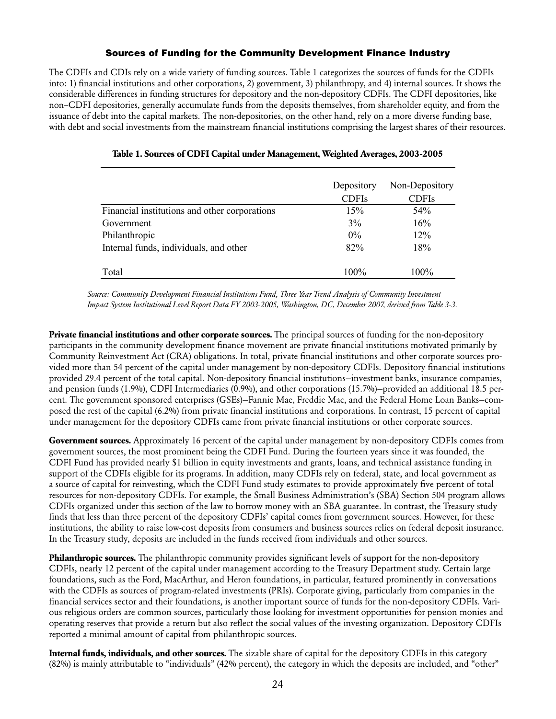#### Sources of Funding for the Community Development Finance Industry

The CDFIs and CDIs rely on a wide variety of funding sources. Table 1 categorizes the sources of funds for the CDFIs into: 1) financial institutions and other corporations, 2) government, 3) philanthropy, and 4) internal sources. It shows the considerable differences in funding structures for depository and the non-depository CDFIs. The CDFI depositories, like non–CDFI depositories, generally accumulate funds from the deposits themselves, from shareholder equity, and from the issuance of debt into the capital markets. The non-depositories, on the other hand, rely on a more diverse funding base, with debt and social investments from the mainstream financial institutions comprising the largest shares of their resources.

|                                               | Depository   | Non-Depository |
|-----------------------------------------------|--------------|----------------|
|                                               | <b>CDFIs</b> | <b>CDFIs</b>   |
| Financial institutions and other corporations | 15%          | 54%            |
| Government                                    | 3%           | 16%            |
| Philanthropic                                 | $0\%$        | 12%            |
| Internal funds, individuals, and other        | 82%          | 18%            |
| Total                                         | $100\%$      | 100%           |

#### **Table 1. Sources of CDFI Capital under Management, Weighted Averages, 2003-2005**

*Source: Community Development Financial Institutions Fund, Three Year Trend Analysis of Community Investment Impact System Institutional Level Report Data FY 2003-2005, Washington, DC, December 2007, derived from Table 3-3.* 

**Private financial institutions and other corporate sources.** The principal sources of funding for the non-depository participants in the community development finance movement are private financial institutions motivated primarily by Community Reinvestment Act (CRA) obligations. In total, private financial institutions and other corporate sources provided more than 54 percent of the capital under management by non-depository CDFIs. Depository financial institutions provided 29.4 percent of the total capital. Non-depository financial institutions—investment banks, insurance companies, and pension funds (1.9%), CDFI Intermediaries (0.9%), and other corporations (15.7%)—provided an additional 18.5 percent. The government sponsored enterprises (GSEs)—Fannie Mae, Freddie Mac, and the Federal Home Loan Banks—composed the rest of the capital (6.2%) from private financial institutions and corporations. In contrast, 15 percent of capital under management for the depository CDFIs came from private financial institutions or other corporate sources.

**Government sources.** Approximately 16 percent of the capital under management by non-depository CDFIs comes from government sources, the most prominent being the CDFI Fund. During the fourteen years since it was founded, the CDFI Fund has provided nearly \$1 billion in equity investments and grants, loans, and technical assistance funding in support of the CDFIs eligible for its programs. In addition, many CDFIs rely on federal, state, and local government as a source of capital for reinvesting, which the CDFI Fund study estimates to provide approximately five percent of total resources for non-depository CDFIs. For example, the Small Business Administration's (SBA) Section 504 program allows CDFIs organized under this section of the law to borrow money with an SBA guarantee. In contrast, the Treasury study finds that less than three percent of the depository CDFIs' capital comes from government sources. However, for these institutions, the ability to raise low-cost deposits from consumers and business sources relies on federal deposit insurance. In the Treasury study, deposits are included in the funds received from individuals and other sources.

**Philanthropic sources.** The philanthropic community provides significant levels of support for the non-depository CDFIs, nearly 12 percent of the capital under management according to the Treasury Department study. Certain large foundations, such as the Ford, MacArthur, and Heron foundations, in particular, featured prominently in conversations with the CDFIs as sources of program-related investments (PRIs). Corporate giving, particularly from companies in the financial services sector and their foundations, is another important source of funds for the non-depository CDFIs. Various religious orders are common sources, particularly those looking for investment opportunities for pension monies and operating reserves that provide a return but also reflect the social values of the investing organization. Depository CDFIs reported a minimal amount of capital from philanthropic sources.

**Internal funds, individuals, and other sources.** The sizable share of capital for the depository CDFIs in this category (82%) is mainly attributable to "individuals" (42% percent), the category in which the deposits are included, and "other"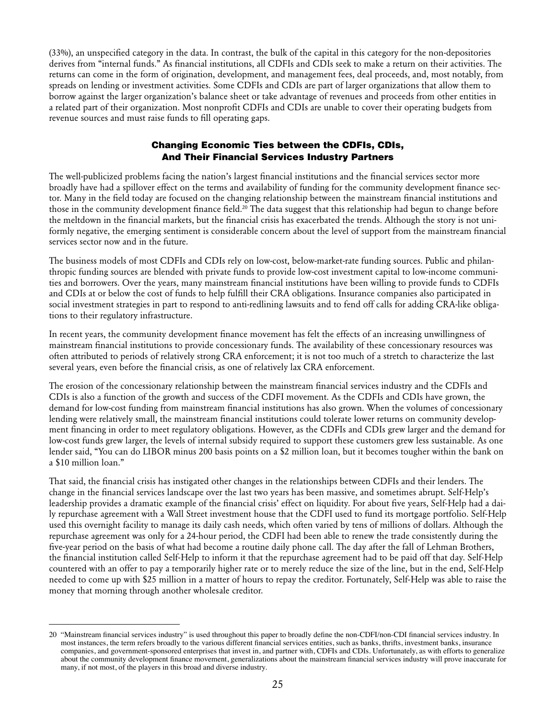(33%), an unspecified category in the data. In contrast, the bulk of the capital in this category for the non-depositories derives from "internal funds." As financial institutions, all CDFIs and CDIs seek to make a return on their activities. The returns can come in the form of origination, development, and management fees, deal proceeds, and, most notably, from spreads on lending or investment activities. Some CDFIs and CDIs are part of larger organizations that allow them to borrow against the larger organization's balance sheet or take advantage of revenues and proceeds from other entities in a related part of their organization. Most nonprofit CDFIs and CDIs are unable to cover their operating budgets from revenue sources and must raise funds to fill operating gaps.

#### Changing Economic Ties between the CDFIs, CDIs, And Their Financial Services Industry Partners

The well-publicized problems facing the nation's largest financial institutions and the financial services sector more broadly have had a spillover effect on the terms and availability of funding for the community development finance sector. Many in the field today are focused on the changing relationship between the mainstream financial institutions and those in the community development finance field.<sup>20</sup> The data suggest that this relationship had begun to change before the meltdown in the financial markets, but the financial crisis has exacerbated the trends. Although the story is not uniformly negative, the emerging sentiment is considerable concern about the level of support from the mainstream financial services sector now and in the future.

The business models of most CDFIs and CDIs rely on low-cost, below-market-rate funding sources. Public and philanthropic funding sources are blended with private funds to provide low-cost investment capital to low-income communities and borrowers. Over the years, many mainstream financial institutions have been willing to provide funds to CDFIs and CDIs at or below the cost of funds to help fulfill their CRA obligations. Insurance companies also participated in social investment strategies in part to respond to anti-redlining lawsuits and to fend off calls for adding CRA-like obligations to their regulatory infrastructure.

In recent years, the community development finance movement has felt the effects of an increasing unwillingness of mainstream financial institutions to provide concessionary funds. The availability of these concessionary resources was often attributed to periods of relatively strong CRA enforcement; it is not too much of a stretch to characterize the last several years, even before the financial crisis, as one of relatively lax CRA enforcement.

The erosion of the concessionary relationship between the mainstream financial services industry and the CDFIs and CDIs is also a function of the growth and success of the CDFI movement. As the CDFIs and CDIs have grown, the demand for low-cost funding from mainstream financial institutions has also grown. When the volumes of concessionary lending were relatively small, the mainstream financial institutions could tolerate lower returns on community development financing in order to meet regulatory obligations. However, as the CDFIs and CDIs grew larger and the demand for low-cost funds grew larger, the levels of internal subsidy required to support these customers grew less sustainable. As one lender said, "You can do LIBOR minus 200 basis points on a \$2 million loan, but it becomes tougher within the bank on a \$10 million loan."

That said, the financial crisis has instigated other changes in the relationships between CDFIs and their lenders. The change in the financial services landscape over the last two years has been massive, and sometimes abrupt. Self-Help's leadership provides a dramatic example of the financial crisis' effect on liquidity. For about five years, Self-Help had a daily repurchase agreement with a Wall Street investment house that the CDFI used to fund its mortgage portfolio. Self-Help used this overnight facility to manage its daily cash needs, which often varied by tens of millions of dollars. Although the repurchase agreement was only for a 24-hour period, the CDFI had been able to renew the trade consistently during the five-year period on the basis of what had become a routine daily phone call. The day after the fall of Lehman Brothers, the financial institution called Self-Help to inform it that the repurchase agreement had to be paid off that day. Self-Help countered with an offer to pay a temporarily higher rate or to merely reduce the size of the line, but in the end, Self-Help needed to come up with \$25 million in a matter of hours to repay the creditor. Fortunately, Self-Help was able to raise the money that morning through another wholesale creditor.

<sup>20 &</sup>quot;Mainstream financial services industry" is used throughout this paper to broadly define the non-CDFI/non-CDI financial services industry. In most instances, the term refers broadly to the various different financial services entities, such as banks, thrifts, investment banks, insurance companies, and government-sponsored enterprises that invest in, and partner with, CDFIs and CDIs. Unfortunately, as with efforts to generalize about the community development finance movement, generalizations about the mainstream financial services industry will prove inaccurate for many, if not most, of the players in this broad and diverse industry.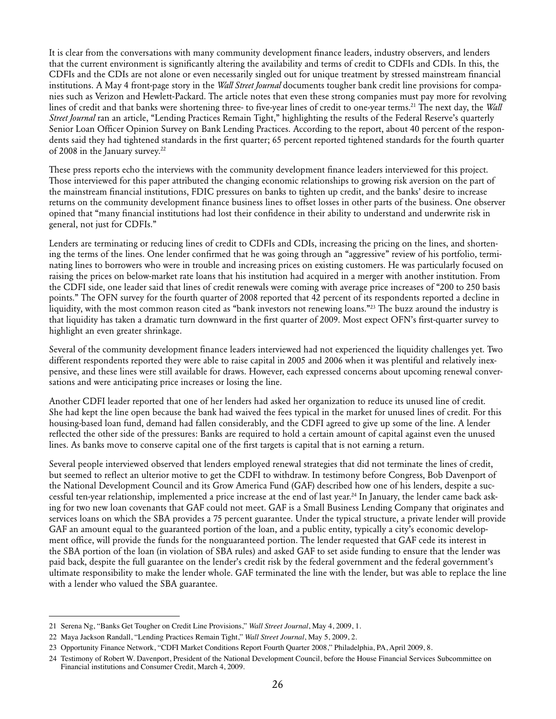It is clear from the conversations with many community development finance leaders, industry observers, and lenders that the current environment is significantly altering the availability and terms of credit to CDFIs and CDIs. In this, the CDFIs and the CDIs are not alone or even necessarily singled out for unique treatment by stressed mainstream financial institutions. A May 4 front-page story in the *Wall Street Journal* documents tougher bank credit line provisions for companies such as Verizon and Hewlett-Packard. The article notes that even these strong companies must pay more for revolving lines of credit and that banks were shortening three- to five-year lines of credit to one-year terms.21 The next day, the *Wall Street Journal* ran an article, "Lending Practices Remain Tight," highlighting the results of the Federal Reserve's quarterly Senior Loan Officer Opinion Survey on Bank Lending Practices. According to the report, about 40 percent of the respondents said they had tightened standards in the first quarter; 65 percent reported tightened standards for the fourth quarter of 2008 in the January survey.<sup>22</sup>

These press reports echo the interviews with the community development finance leaders interviewed for this project. Those interviewed for this paper attributed the changing economic relationships to growing risk aversion on the part of the mainstream financial institutions, FDIC pressures on banks to tighten up credit, and the banks' desire to increase returns on the community development finance business lines to offset losses in other parts of the business. One observer opined that "many financial institutions had lost their confidence in their ability to understand and underwrite risk in general, not just for CDFIs."

Lenders are terminating or reducing lines of credit to CDFIs and CDIs, increasing the pricing on the lines, and shortening the terms of the lines. One lender confirmed that he was going through an "aggressive" review of his portfolio, terminating lines to borrowers who were in trouble and increasing prices on existing customers. He was particularly focused on raising the prices on below-market rate loans that his institution had acquired in a merger with another institution. From the CDFI side, one leader said that lines of credit renewals were coming with average price increases of "200 to 250 basis points." The OFN survey for the fourth quarter of 2008 reported that 42 percent of its respondents reported a decline in liquidity, with the most common reason cited as "bank investors not renewing loans."<sup>23</sup> The buzz around the industry is that liquidity has taken a dramatic turn downward in the first quarter of 2009. Most expect OFN's first-quarter survey to highlight an even greater shrinkage.

Several of the community development finance leaders interviewed had not experienced the liquidity challenges yet. Two different respondents reported they were able to raise capital in 2005 and 2006 when it was plentiful and relatively inexpensive, and these lines were still available for draws. However, each expressed concerns about upcoming renewal conversations and were anticipating price increases or losing the line.

Another CDFI leader reported that one of her lenders had asked her organization to reduce its unused line of credit. She had kept the line open because the bank had waived the fees typical in the market for unused lines of credit. For this housing-based loan fund, demand had fallen considerably, and the CDFI agreed to give up some of the line. A lender reflected the other side of the pressures: Banks are required to hold a certain amount of capital against even the unused lines. As banks move to conserve capital one of the first targets is capital that is not earning a return.

Several people interviewed observed that lenders employed renewal strategies that did not terminate the lines of credit, but seemed to reflect an ulterior motive to get the CDFI to withdraw. In testimony before Congress, Bob Davenport of the National Development Council and its Grow America Fund (GAF) described how one of his lenders, despite a successful ten-year relationship, implemented a price increase at the end of last year.24 In January, the lender came back asking for two new loan covenants that GAF could not meet. GAF is a Small Business Lending Company that originates and services loans on which the SBA provides a 75 percent guarantee. Under the typical structure, a private lender will provide GAF an amount equal to the guaranteed portion of the loan, and a public entity, typically a city's economic development office, will provide the funds for the nonguaranteed portion. The lender requested that GAF cede its interest in the SBA portion of the loan (in violation of SBA rules) and asked GAF to set aside funding to ensure that the lender was paid back, despite the full guarantee on the lender's credit risk by the federal government and the federal government's ultimate responsibility to make the lender whole. GAF terminated the line with the lender, but was able to replace the line with a lender who valued the SBA guarantee.

<sup>21</sup> Serena Ng, "Banks Get Tougher on Credit Line Provisions," *Wall Street Journal*, May 4, 2009, 1.

<sup>22</sup> Maya Jackson Randall, "Lending Practices Remain Tight," *Wall Street Journal*, May 5, 2009, 2.

<sup>23</sup> Opportunity Finance Network, "CDFI Market Conditions Report Fourth Quarter 2008," Philadelphia, PA, April 2009, 8.

<sup>24</sup> Testimony of Robert W. Davenport, President of the National Development Council, before the House Financial Services Subcommittee on Financial institutions and Consumer Credit, March 4, 2009.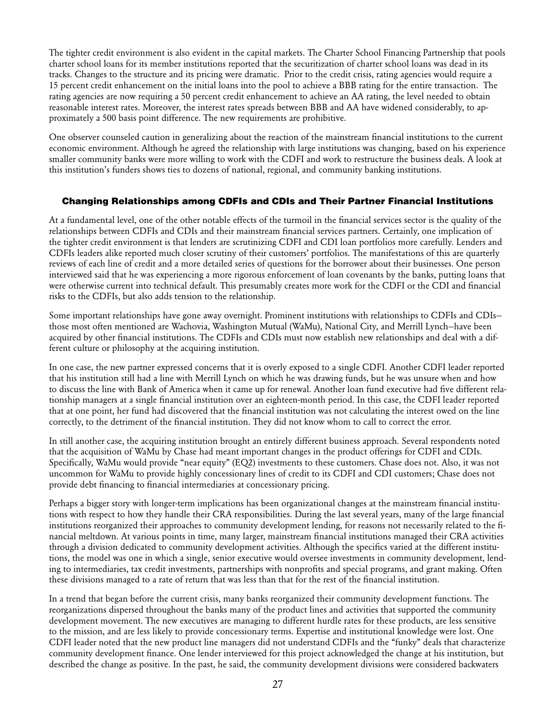The tighter credit environment is also evident in the capital markets. The Charter School Financing Partnership that pools charter school loans for its member institutions reported that the securitization of charter school loans was dead in its tracks. Changes to the structure and its pricing were dramatic. Prior to the credit crisis, rating agencies would require a 15 percent credit enhancement on the initial loans into the pool to achieve a BBB rating for the entire transaction. The rating agencies are now requiring a 50 percent credit enhancement to achieve an AA rating, the level needed to obtain reasonable interest rates. Moreover, the interest rates spreads between BBB and AA have widened considerably, to approximately a 500 basis point difference. The new requirements are prohibitive.

One observer counseled caution in generalizing about the reaction of the mainstream financial institutions to the current economic environment. Although he agreed the relationship with large institutions was changing, based on his experience smaller community banks were more willing to work with the CDFI and work to restructure the business deals. A look at this institution's funders shows ties to dozens of national, regional, and community banking institutions.

#### Changing Relationships among CDFIs and CDIs and Their Partner Financial Institutions

At a fundamental level, one of the other notable effects of the turmoil in the financial services sector is the quality of the relationships between CDFIs and CDIs and their mainstream financial services partners. Certainly, one implication of the tighter credit environment is that lenders are scrutinizing CDFI and CDI loan portfolios more carefully. Lenders and CDFIs leaders alike reported much closer scrutiny of their customers' portfolios. The manifestations of this are quarterly reviews of each line of credit and a more detailed series of questions for the borrower about their businesses. One person interviewed said that he was experiencing a more rigorous enforcement of loan covenants by the banks, putting loans that were otherwise current into technical default. This presumably creates more work for the CDFI or the CDI and financial risks to the CDFIs, but also adds tension to the relationship.

Some important relationships have gone away overnight. Prominent institutions with relationships to CDFIs and CDIs those most often mentioned are Wachovia, Washington Mutual (WaMu), National City, and Merrill Lynch—have been acquired by other financial institutions. The CDFIs and CDIs must now establish new relationships and deal with a different culture or philosophy at the acquiring institution.

In one case, the new partner expressed concerns that it is overly exposed to a single CDFI. Another CDFI leader reported that his institution still had a line with Merrill Lynch on which he was drawing funds, but he was unsure when and how to discuss the line with Bank of America when it came up for renewal. Another loan fund executive had five different relationship managers at a single financial institution over an eighteen-month period. In this case, the CDFI leader reported that at one point, her fund had discovered that the financial institution was not calculating the interest owed on the line correctly, to the detriment of the financial institution. They did not know whom to call to correct the error.

In still another case, the acquiring institution brought an entirely different business approach. Several respondents noted that the acquisition of WaMu by Chase had meant important changes in the product offerings for CDFI and CDIs. Specifically, WaMu would provide "near equity" (EQ2) investments to these customers. Chase does not. Also, it was not uncommon for WaMu to provide highly concessionary lines of credit to its CDFI and CDI customers; Chase does not provide debt financing to financial intermediaries at concessionary pricing.

Perhaps a bigger story with longer-term implications has been organizational changes at the mainstream financial institutions with respect to how they handle their CRA responsibilities. During the last several years, many of the large financial institutions reorganized their approaches to community development lending, for reasons not necessarily related to the financial meltdown. At various points in time, many larger, mainstream financial institutions managed their CRA activities through a division dedicated to community development activities. Although the specifics varied at the different institutions, the model was one in which a single, senior executive would oversee investments in community development, lending to intermediaries, tax credit investments, partnerships with nonprofits and special programs, and grant making. Often these divisions managed to a rate of return that was less than that for the rest of the financial institution.

In a trend that began before the current crisis, many banks reorganized their community development functions. The reorganizations dispersed throughout the banks many of the product lines and activities that supported the community development movement. The new executives are managing to different hurdle rates for these products, are less sensitive to the mission, and are less likely to provide concessionary terms. Expertise and institutional knowledge were lost. One CDFI leader noted that the new product line managers did not understand CDFIs and the "funky" deals that characterize community development finance. One lender interviewed for this project acknowledged the change at his institution, but described the change as positive. In the past, he said, the community development divisions were considered backwaters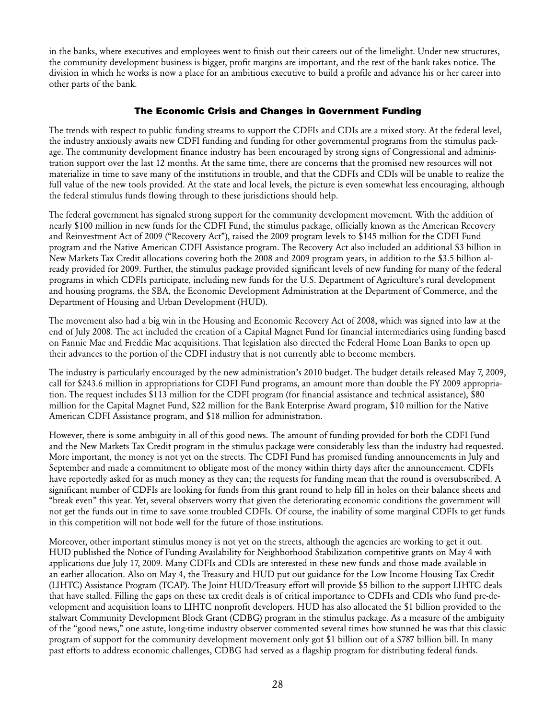in the banks, where executives and employees went to finish out their careers out of the limelight. Under new structures, the community development business is bigger, profit margins are important, and the rest of the bank takes notice. The division in which he works is now a place for an ambitious executive to build a profile and advance his or her career into other parts of the bank.

#### The Economic Crisis and Changes in Government Funding

The trends with respect to public funding streams to support the CDFIs and CDIs are a mixed story. At the federal level, the industry anxiously awaits new CDFI funding and funding for other governmental programs from the stimulus package. The community development finance industry has been encouraged by strong signs of Congressional and administration support over the last 12 months. At the same time, there are concerns that the promised new resources will not materialize in time to save many of the institutions in trouble, and that the CDFIs and CDIs will be unable to realize the full value of the new tools provided. At the state and local levels, the picture is even somewhat less encouraging, although the federal stimulus funds flowing through to these jurisdictions should help.

The federal government has signaled strong support for the community development movement. With the addition of nearly \$100 million in new funds for the CDFI Fund, the stimulus package, officially known as the American Recovery and Reinvestment Act of 2009 ("Recovery Act"), raised the 2009 program levels to \$145 million for the CDFI Fund program and the Native American CDFI Assistance program. The Recovery Act also included an additional \$3 billion in New Markets Tax Credit allocations covering both the 2008 and 2009 program years, in addition to the \$3.5 billion already provided for 2009. Further, the stimulus package provided significant levels of new funding for many of the federal programs in which CDFIs participate, including new funds for the U.S. Department of Agriculture's rural development and housing programs, the SBA, the Economic Development Administration at the Department of Commerce, and the Department of Housing and Urban Development (HUD).

The movement also had a big win in the Housing and Economic Recovery Act of 2008, which was signed into law at the end of July 2008. The act included the creation of a Capital Magnet Fund for financial intermediaries using funding based on Fannie Mae and Freddie Mac acquisitions. That legislation also directed the Federal Home Loan Banks to open up their advances to the portion of the CDFI industry that is not currently able to become members.

The industry is particularly encouraged by the new administration's 2010 budget. The budget details released May 7, 2009, call for \$243.6 million in appropriations for CDFI Fund programs, an amount more than double the FY 2009 appropriation. The request includes \$113 million for the CDFI program (for financial assistance and technical assistance), \$80 million for the Capital Magnet Fund, \$22 million for the Bank Enterprise Award program, \$10 million for the Native American CDFI Assistance program, and \$18 million for administration.

However, there is some ambiguity in all of this good news. The amount of funding provided for both the CDFI Fund and the New Markets Tax Credit program in the stimulus package were considerably less than the industry had requested. More important, the money is not yet on the streets. The CDFI Fund has promised funding announcements in July and September and made a commitment to obligate most of the money within thirty days after the announcement. CDFIs have reportedly asked for as much money as they can; the requests for funding mean that the round is oversubscribed. A significant number of CDFIs are looking for funds from this grant round to help fill in holes on their balance sheets and "break even" this year. Yet, several observers worry that given the deteriorating economic conditions the government will not get the funds out in time to save some troubled CDFIs. Of course, the inability of some marginal CDFIs to get funds in this competition will not bode well for the future of those institutions.

Moreover, other important stimulus money is not yet on the streets, although the agencies are working to get it out. HUD published the Notice of Funding Availability for Neighborhood Stabilization competitive grants on May 4 with applications due July 17, 2009. Many CDFIs and CDIs are interested in these new funds and those made available in an earlier allocation. Also on May 4, the Treasury and HUD put out guidance for the Low Income Housing Tax Credit (LIHTC) Assistance Program (TCAP). The Joint HUD/Treasury effort will provide \$5 billion to the support LIHTC deals that have stalled. Filling the gaps on these tax credit deals is of critical importance to CDFIs and CDIs who fund pre-development and acquisition loans to LIHTC nonprofit developers. HUD has also allocated the \$1 billion provided to the stalwart Community Development Block Grant (CDBG) program in the stimulus package. As a measure of the ambiguity of the "good news," one astute, long-time industry observer commented several times how stunned he was that this classic program of support for the community development movement only got \$1 billion out of a \$787 billion bill. In many past efforts to address economic challenges, CDBG had served as a flagship program for distributing federal funds.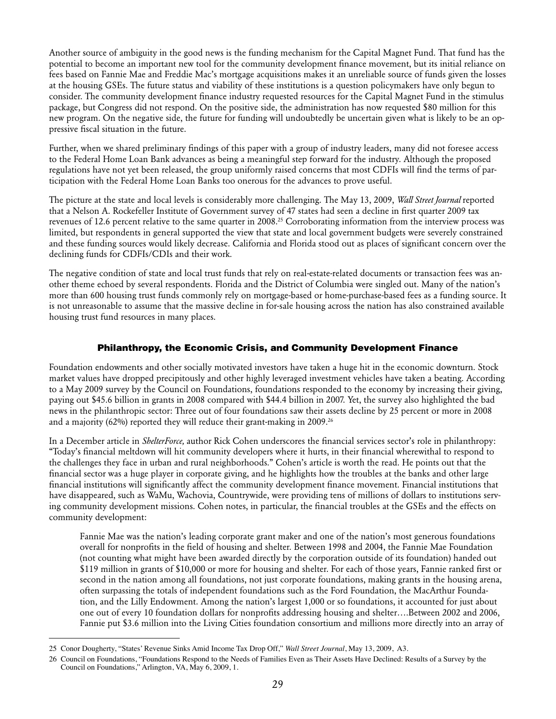Another source of ambiguity in the good news is the funding mechanism for the Capital Magnet Fund. That fund has the potential to become an important new tool for the community development finance movement, but its initial reliance on fees based on Fannie Mae and Freddie Mac's mortgage acquisitions makes it an unreliable source of funds given the losses at the housing GSEs. The future status and viability of these institutions is a question policymakers have only begun to consider. The community development finance industry requested resources for the Capital Magnet Fund in the stimulus package, but Congress did not respond. On the positive side, the administration has now requested \$80 million for this new program. On the negative side, the future for funding will undoubtedly be uncertain given what is likely to be an oppressive fiscal situation in the future.

Further, when we shared preliminary findings of this paper with a group of industry leaders, many did not foresee access to the Federal Home Loan Bank advances as being a meaningful step forward for the industry. Although the proposed regulations have not yet been released, the group uniformly raised concerns that most CDFIs will find the terms of participation with the Federal Home Loan Banks too onerous for the advances to prove useful.

The picture at the state and local levels is considerably more challenging. The May 13, 2009, *Wall Street Journal* reported that a Nelson A. Rockefeller Institute of Government survey of 47 states had seen a decline in first quarter 2009 tax revenues of 12.6 percent relative to the same quarter in 2008.25 Corroborating information from the interview process was limited, but respondents in general supported the view that state and local government budgets were severely constrained and these funding sources would likely decrease. California and Florida stood out as places of significant concern over the declining funds for CDFIs/CDIs and their work.

The negative condition of state and local trust funds that rely on real-estate-related documents or transaction fees was another theme echoed by several respondents. Florida and the District of Columbia were singled out. Many of the nation's more than 600 housing trust funds commonly rely on mortgage-based or home-purchase-based fees as a funding source. It is not unreasonable to assume that the massive decline in for-sale housing across the nation has also constrained available housing trust fund resources in many places.

#### Philanthropy, the Economic Crisis, and Community Development Finance

Foundation endowments and other socially motivated investors have taken a huge hit in the economic downturn. Stock market values have dropped precipitously and other highly leveraged investment vehicles have taken a beating. According to a May 2009 survey by the Council on Foundations, foundations responded to the economy by increasing their giving, paying out \$45.6 billion in grants in 2008 compared with \$44.4 billion in 2007. Yet, the survey also highlighted the bad news in the philanthropic sector: Three out of four foundations saw their assets decline by 25 percent or more in 2008 and a majority  $(62%)$  reported they will reduce their grant-making in 2009.<sup>26</sup>

In a December article in *ShelterForce,* author Rick Cohen underscores the financial services sector's role in philanthropy: "Today's financial meltdown will hit community developers where it hurts, in their financial wherewithal to respond to the challenges they face in urban and rural neighborhoods." Cohen's article is worth the read. He points out that the financial sector was a huge player in corporate giving, and he highlights how the troubles at the banks and other large financial institutions will significantly affect the community development finance movement. Financial institutions that have disappeared, such as WaMu, Wachovia, Countrywide, were providing tens of millions of dollars to institutions serving community development missions. Cohen notes, in particular, the financial troubles at the GSEs and the effects on community development:

Fannie Mae was the nation's leading corporate grant maker and one of the nation's most generous foundations overall for nonprofits in the field of housing and shelter. Between 1998 and 2004, the Fannie Mae Foundation (not counting what might have been awarded directly by the corporation outside of its foundation) handed out \$119 million in grants of \$10,000 or more for housing and shelter. For each of those years, Fannie ranked first or second in the nation among all foundations, not just corporate foundations, making grants in the housing arena, often surpassing the totals of independent foundations such as the Ford Foundation, the MacArthur Foundation, and the Lilly Endowment. Among the nation's largest 1,000 or so foundations, it accounted for just about one out of every 10 foundation dollars for nonprofits addressing housing and shelter….Between 2002 and 2006, Fannie put \$3.6 million into the Living Cities foundation consortium and millions more directly into an array of

<sup>25</sup> Conor Dougherty, "States' Revenue Sinks Amid Income Tax Drop Off," *Wall Street Journal*, May 13, 2009, A3.

<sup>26</sup> Council on Foundations, "Foundations Respond to the Needs of Families Even as Their Assets Have Declined: Results of a Survey by the Council on Foundations," Arlington, VA, May 6, 2009, 1.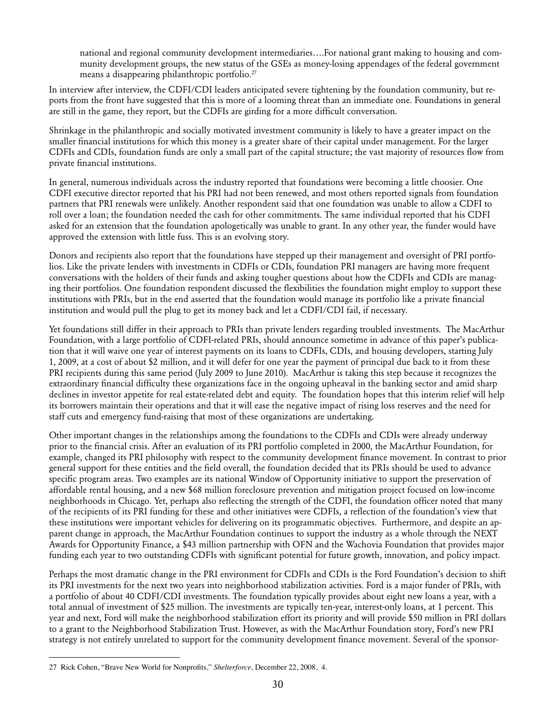national and regional community development intermediaries….For national grant making to housing and community development groups, the new status of the GSEs as money-losing appendages of the federal government means a disappearing philanthropic portfolio.<sup>27</sup>

In interview after interview, the CDFI/CDI leaders anticipated severe tightening by the foundation community, but reports from the front have suggested that this is more of a looming threat than an immediate one. Foundations in general are still in the game, they report, but the CDFIs are girding for a more difficult conversation.

Shrinkage in the philanthropic and socially motivated investment community is likely to have a greater impact on the smaller financial institutions for which this money is a greater share of their capital under management. For the larger CDFIs and CDIs, foundation funds are only a small part of the capital structure; the vast majority of resources flow from private financial institutions.

In general, numerous individuals across the industry reported that foundations were becoming a little choosier. One CDFI executive director reported that his PRI had not been renewed, and most others reported signals from foundation partners that PRI renewals were unlikely. Another respondent said that one foundation was unable to allow a CDFI to roll over a loan; the foundation needed the cash for other commitments. The same individual reported that his CDFI asked for an extension that the foundation apologetically was unable to grant. In any other year, the funder would have approved the extension with little fuss. This is an evolving story.

Donors and recipients also report that the foundations have stepped up their management and oversight of PRI portfolios. Like the private lenders with investments in CDFIs or CDIs, foundation PRI managers are having more frequent conversations with the holders of their funds and asking tougher questions about how the CDFIs and CDIs are managing their portfolios. One foundation respondent discussed the flexibilities the foundation might employ to support these institutions with PRIs, but in the end asserted that the foundation would manage its portfolio like a private financial institution and would pull the plug to get its money back and let a CDFI/CDI fail, if necessary.

Yet foundations still differ in their approach to PRIs than private lenders regarding troubled investments. The MacArthur Foundation, with a large portfolio of CDFI-related PRIs, should announce sometime in advance of this paper's publication that it will waive one year of interest payments on its loans to CDFIs, CDIs, and housing developers, starting July 1, 2009, at a cost of about \$2 million, and it will defer for one year the payment of principal due back to it from these PRI recipients during this same period (July 2009 to June 2010). MacArthur is taking this step because it recognizes the extraordinary financial difficulty these organizations face in the ongoing upheaval in the banking sector and amid sharp declines in investor appetite for real estate-related debt and equity. The foundation hopes that this interim relief will help its borrowers maintain their operations and that it will ease the negative impact of rising loss reserves and the need for staff cuts and emergency fund-raising that most of these organizations are undertaking.

Other important changes in the relationships among the foundations to the CDFIs and CDIs were already underway prior to the financial crisis. After an evaluation of its PRI portfolio completed in 2000, the MacArthur Foundation, for example, changed its PRI philosophy with respect to the community development finance movement. In contrast to prior general support for these entities and the field overall, the foundation decided that its PRIs should be used to advance specific program areas. Two examples are its national Window of Opportunity initiative to support the preservation of affordable rental housing, and a new \$68 million foreclosure prevention and mitigation project focused on low-income neighborhoods in Chicago. Yet, perhaps also reflecting the strength of the CDFI, the foundation officer noted that many of the recipients of its PRI funding for these and other initiatives were CDFIs, a reflection of the foundation's view that these institutions were important vehicles for delivering on its programmatic objectives. Furthermore, and despite an apparent change in approach, the MacArthur Foundation continues to support the industry as a whole through the NEXT Awards for Opportunity Finance, a \$43 million partnership with OFN and the Wachovia Foundation that provides major funding each year to two outstanding CDFIs with significant potential for future growth, innovation, and policy impact.

Perhaps the most dramatic change in the PRI environment for CDFIs and CDIs is the Ford Foundation's decision to shift its PRI investments for the next two years into neighborhood stabilization activities. Ford is a major funder of PRIs, with a portfolio of about 40 CDFI/CDI investments. The foundation typically provides about eight new loans a year, with a total annual of investment of \$25 million. The investments are typically ten-year, interest-only loans, at 1 percent. This year and next, Ford will make the neighborhood stabilization effort its priority and will provide \$50 million in PRI dollars to a grant to the Neighborhood Stabilization Trust. However, as with the MacArthur Foundation story, Ford's new PRI strategy is not entirely unrelated to support for the community development finance movement. Several of the sponsor-

<sup>27</sup> Rick Cohen, "Brave New World for Nonprofits," *Shelterforce,* December 22, 2008, 4.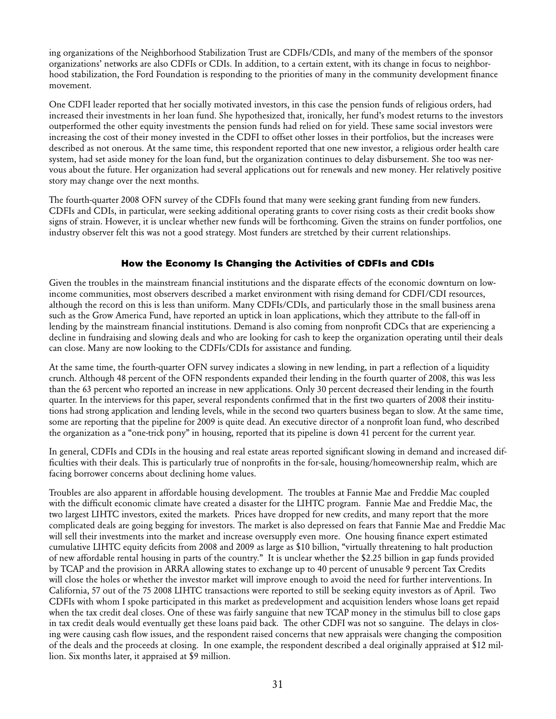ing organizations of the Neighborhood Stabilization Trust are CDFIs/CDIs, and many of the members of the sponsor organizations' networks are also CDFIs or CDIs. In addition, to a certain extent, with its change in focus to neighborhood stabilization, the Ford Foundation is responding to the priorities of many in the community development finance movement.

One CDFI leader reported that her socially motivated investors, in this case the pension funds of religious orders, had increased their investments in her loan fund. She hypothesized that, ironically, her fund's modest returns to the investors outperformed the other equity investments the pension funds had relied on for yield. These same social investors were increasing the cost of their money invested in the CDFI to offset other losses in their portfolios, but the increases were described as not onerous. At the same time, this respondent reported that one new investor, a religious order health care system, had set aside money for the loan fund, but the organization continues to delay disbursement. She too was nervous about the future. Her organization had several applications out for renewals and new money. Her relatively positive story may change over the next months.

The fourth-quarter 2008 OFN survey of the CDFIs found that many were seeking grant funding from new funders. CDFIs and CDIs, in particular, were seeking additional operating grants to cover rising costs as their credit books show signs of strain. However, it is unclear whether new funds will be forthcoming. Given the strains on funder portfolios, one industry observer felt this was not a good strategy. Most funders are stretched by their current relationships.

#### How the Economy Is Changing the Activities of CDFIs and CDIs

Given the troubles in the mainstream financial institutions and the disparate effects of the economic downturn on lowincome communities, most observers described a market environment with rising demand for CDFI/CDI resources, although the record on this is less than uniform. Many CDFIs/CDIs, and particularly those in the small business arena such as the Grow America Fund, have reported an uptick in loan applications, which they attribute to the fall-off in lending by the mainstream financial institutions. Demand is also coming from nonprofit CDCs that are experiencing a decline in fundraising and slowing deals and who are looking for cash to keep the organization operating until their deals can close. Many are now looking to the CDFIs/CDIs for assistance and funding.

At the same time, the fourth-quarter OFN survey indicates a slowing in new lending, in part a reflection of a liquidity crunch. Although 48 percent of the OFN respondents expanded their lending in the fourth quarter of 2008, this was less than the 63 percent who reported an increase in new applications. Only 30 percent decreased their lending in the fourth quarter. In the interviews for this paper, several respondents confirmed that in the first two quarters of 2008 their institutions had strong application and lending levels, while in the second two quarters business began to slow. At the same time, some are reporting that the pipeline for 2009 is quite dead. An executive director of a nonprofit loan fund, who described the organization as a "one-trick pony" in housing, reported that its pipeline is down 41 percent for the current year.

In general, CDFIs and CDIs in the housing and real estate areas reported significant slowing in demand and increased difficulties with their deals. This is particularly true of nonprofits in the for-sale, housing/homeownership realm, which are facing borrower concerns about declining home values.

Troubles are also apparent in affordable housing development. The troubles at Fannie Mae and Freddie Mac coupled with the difficult economic climate have created a disaster for the LIHTC program. Fannie Mae and Freddie Mac, the two largest LIHTC investors, exited the markets. Prices have dropped for new credits, and many report that the more complicated deals are going begging for investors. The market is also depressed on fears that Fannie Mae and Freddie Mac will sell their investments into the market and increase oversupply even more. One housing finance expert estimated cumulative LIHTC equity deficits from 2008 and 2009 as large as \$10 billion, "virtually threatening to halt production of new affordable rental housing in parts of the country." It is unclear whether the \$2.25 billion in gap funds provided by TCAP and the provision in ARRA allowing states to exchange up to 40 percent of unusable 9 percent Tax Credits will close the holes or whether the investor market will improve enough to avoid the need for further interventions. In California, 57 out of the 75 2008 LIHTC transactions were reported to still be seeking equity investors as of April. Two CDFIs with whom I spoke participated in this market as predevelopment and acquisition lenders whose loans get repaid when the tax credit deal closes. One of these was fairly sanguine that new TCAP money in the stimulus bill to close gaps in tax credit deals would eventually get these loans paid back. The other CDFI was not so sanguine. The delays in closing were causing cash flow issues, and the respondent raised concerns that new appraisals were changing the composition of the deals and the proceeds at closing. In one example, the respondent described a deal originally appraised at \$12 million. Six months later, it appraised at \$9 million.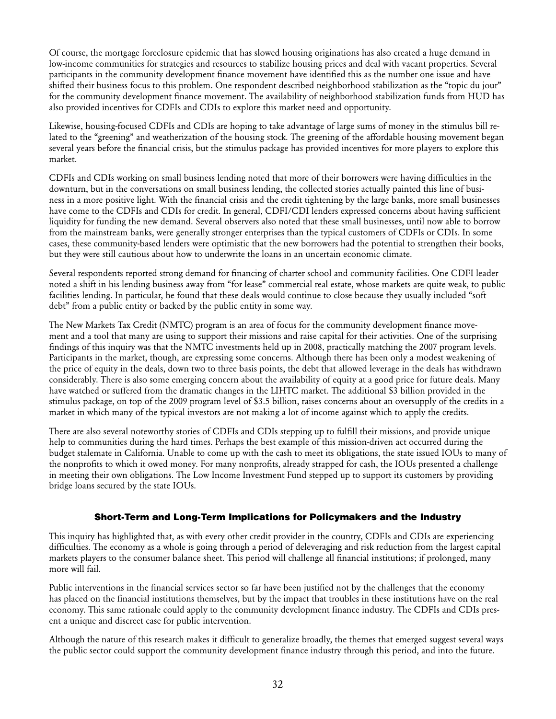Of course, the mortgage foreclosure epidemic that has slowed housing originations has also created a huge demand in low-income communities for strategies and resources to stabilize housing prices and deal with vacant properties. Several participants in the community development finance movement have identified this as the number one issue and have shifted their business focus to this problem. One respondent described neighborhood stabilization as the "topic du jour" for the community development finance movement. The availability of neighborhood stabilization funds from HUD has also provided incentives for CDFIs and CDIs to explore this market need and opportunity.

Likewise, housing-focused CDFIs and CDIs are hoping to take advantage of large sums of money in the stimulus bill related to the "greening" and weatherization of the housing stock. The greening of the affordable housing movement began several years before the financial crisis, but the stimulus package has provided incentives for more players to explore this market.

CDFIs and CDIs working on small business lending noted that more of their borrowers were having difficulties in the downturn, but in the conversations on small business lending, the collected stories actually painted this line of business in a more positive light. With the financial crisis and the credit tightening by the large banks, more small businesses have come to the CDFIs and CDIs for credit. In general, CDFI/CDI lenders expressed concerns about having sufficient liquidity for funding the new demand. Several observers also noted that these small businesses, until now able to borrow from the mainstream banks, were generally stronger enterprises than the typical customers of CDFIs or CDIs. In some cases, these community-based lenders were optimistic that the new borrowers had the potential to strengthen their books, but they were still cautious about how to underwrite the loans in an uncertain economic climate.

Several respondents reported strong demand for financing of charter school and community facilities. One CDFI leader noted a shift in his lending business away from "for lease" commercial real estate, whose markets are quite weak, to public facilities lending. In particular, he found that these deals would continue to close because they usually included "soft debt" from a public entity or backed by the public entity in some way.

The New Markets Tax Credit (NMTC) program is an area of focus for the community development finance movement and a tool that many are using to support their missions and raise capital for their activities. One of the surprising findings of this inquiry was that the NMTC investments held up in 2008, practically matching the 2007 program levels. Participants in the market, though, are expressing some concerns. Although there has been only a modest weakening of the price of equity in the deals, down two to three basis points, the debt that allowed leverage in the deals has withdrawn considerably. There is also some emerging concern about the availability of equity at a good price for future deals. Many have watched or suffered from the dramatic changes in the LIHTC market. The additional \$3 billion provided in the stimulus package, on top of the 2009 program level of \$3.5 billion, raises concerns about an oversupply of the credits in a market in which many of the typical investors are not making a lot of income against which to apply the credits.

There are also several noteworthy stories of CDFIs and CDIs stepping up to fulfill their missions, and provide unique help to communities during the hard times. Perhaps the best example of this mission-driven act occurred during the budget stalemate in California. Unable to come up with the cash to meet its obligations, the state issued IOUs to many of the nonprofits to which it owed money. For many nonprofits, already strapped for cash, the IOUs presented a challenge in meeting their own obligations. The Low Income Investment Fund stepped up to support its customers by providing bridge loans secured by the state IOUs.

#### Short-Term and Long-Term Implications for Policymakers and the Industry

This inquiry has highlighted that, as with every other credit provider in the country, CDFIs and CDIs are experiencing difficulties. The economy as a whole is going through a period of deleveraging and risk reduction from the largest capital markets players to the consumer balance sheet. This period will challenge all financial institutions; if prolonged, many more will fail.

Public interventions in the financial services sector so far have been justified not by the challenges that the economy has placed on the financial institutions themselves, but by the impact that troubles in these institutions have on the real economy. This same rationale could apply to the community development finance industry. The CDFIs and CDIs present a unique and discreet case for public intervention.

Although the nature of this research makes it difficult to generalize broadly, the themes that emerged suggest several ways the public sector could support the community development finance industry through this period, and into the future.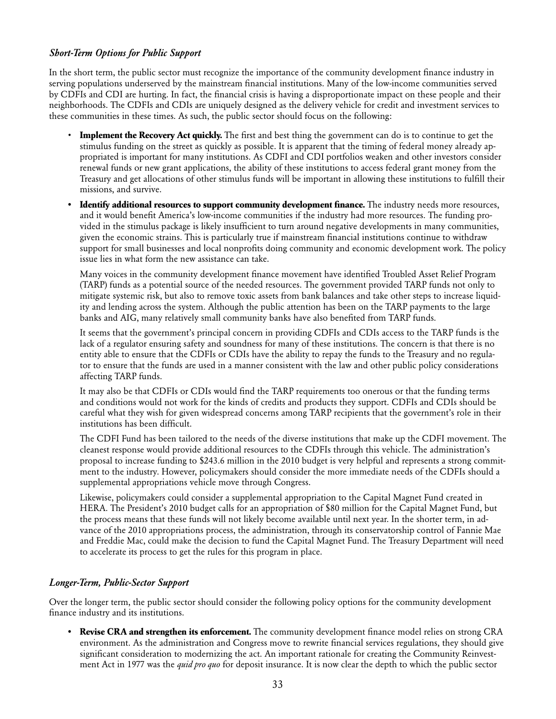#### *Short-Term Options for Public Support*

In the short term, the public sector must recognize the importance of the community development finance industry in serving populations underserved by the mainstream financial institutions. Many of the low-income communities served by CDFIs and CDI are hurting. In fact, the financial crisis is having a disproportionate impact on these people and their neighborhoods. The CDFIs and CDIs are uniquely designed as the delivery vehicle for credit and investment services to these communities in these times. As such, the public sector should focus on the following:

- **Implement the Recovery Act quickly.** The first and best thing the government can do is to continue to get the stimulus funding on the street as quickly as possible. It is apparent that the timing of federal money already appropriated is important for many institutions. As CDFI and CDI portfolios weaken and other investors consider renewal funds or new grant applications, the ability of these institutions to access federal grant money from the Treasury and get allocations of other stimulus funds will be important in allowing these institutions to fulfill their missions, and survive.
- **• Identify additional resources to support community development finance.** The industry needs more resources, and it would benefit America's low-income communities if the industry had more resources. The funding provided in the stimulus package is likely insufficient to turn around negative developments in many communities, given the economic strains. This is particularly true if mainstream financial institutions continue to withdraw support for small businesses and local nonprofits doing community and economic development work. The policy issue lies in what form the new assistance can take.

Many voices in the community development finance movement have identified Troubled Asset Relief Program (TARP) funds as a potential source of the needed resources. The government provided TARP funds not only to mitigate systemic risk, but also to remove toxic assets from bank balances and take other steps to increase liquidity and lending across the system. Although the public attention has been on the TARP payments to the large banks and AIG, many relatively small community banks have also benefited from TARP funds.

It seems that the government's principal concern in providing CDFIs and CDIs access to the TARP funds is the lack of a regulator ensuring safety and soundness for many of these institutions. The concern is that there is no entity able to ensure that the CDFIs or CDIs have the ability to repay the funds to the Treasury and no regulator to ensure that the funds are used in a manner consistent with the law and other public policy considerations affecting TARP funds.

It may also be that CDFIs or CDIs would find the TARP requirements too onerous or that the funding terms and conditions would not work for the kinds of credits and products they support. CDFIs and CDIs should be careful what they wish for given widespread concerns among TARP recipients that the government's role in their institutions has been difficult.

The CDFI Fund has been tailored to the needs of the diverse institutions that make up the CDFI movement. The cleanest response would provide additional resources to the CDFIs through this vehicle. The administration's proposal to increase funding to \$243.6 million in the 2010 budget is very helpful and represents a strong commitment to the industry. However, policymakers should consider the more immediate needs of the CDFIs should a supplemental appropriations vehicle move through Congress.

Likewise, policymakers could consider a supplemental appropriation to the Capital Magnet Fund created in HERA. The President's 2010 budget calls for an appropriation of \$80 million for the Capital Magnet Fund, but the process means that these funds will not likely become available until next year. In the shorter term, in advance of the 2010 appropriations process, the administration, through its conservatorship control of Fannie Mae and Freddie Mac, could make the decision to fund the Capital Magnet Fund. The Treasury Department will need to accelerate its process to get the rules for this program in place.

#### *Longer-Term, Public-Sector Support*

Over the longer term, the public sector should consider the following policy options for the community development finance industry and its institutions.

**• Revise CRA and strengthen its enforcement.** The community development finance model relies on strong CRA environment. As the administration and Congress move to rewrite financial services regulations, they should give significant consideration to modernizing the act. An important rationale for creating the Community Reinvestment Act in 1977 was the *quid pro quo* for deposit insurance. It is now clear the depth to which the public sector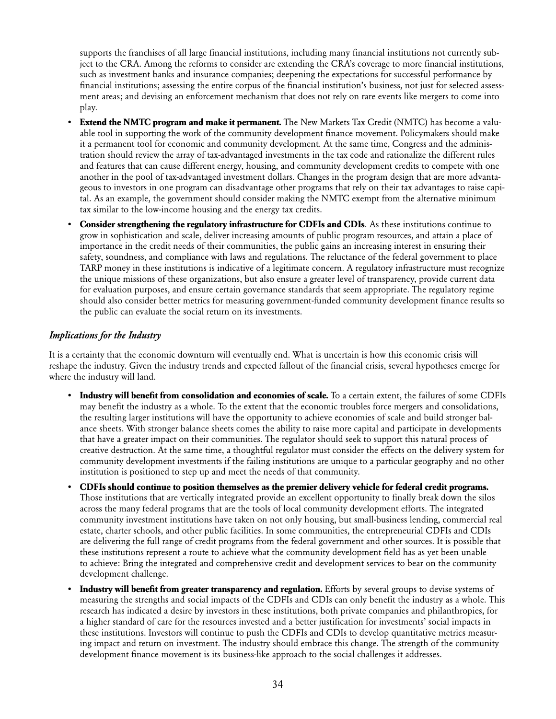supports the franchises of all large financial institutions, including many financial institutions not currently subject to the CRA. Among the reforms to consider are extending the CRA's coverage to more financial institutions, such as investment banks and insurance companies; deepening the expectations for successful performance by financial institutions; assessing the entire corpus of the financial institution's business, not just for selected assessment areas; and devising an enforcement mechanism that does not rely on rare events like mergers to come into play.

- **• Extend the NMTC program and make it permanent.** The New Markets Tax Credit (NMTC) has become a valuable tool in supporting the work of the community development finance movement. Policymakers should make it a permanent tool for economic and community development. At the same time, Congress and the administration should review the array of tax-advantaged investments in the tax code and rationalize the different rules and features that can cause different energy, housing, and community development credits to compete with one another in the pool of tax-advantaged investment dollars. Changes in the program design that are more advantageous to investors in one program can disadvantage other programs that rely on their tax advantages to raise capital. As an example, the government should consider making the NMTC exempt from the alternative minimum tax similar to the low-income housing and the energy tax credits.
- **• Consider strengthening the regulatory infrastructure for CDFIs and CDIs**. As these institutions continue to grow in sophistication and scale, deliver increasing amounts of public program resources, and attain a place of importance in the credit needs of their communities, the public gains an increasing interest in ensuring their safety, soundness, and compliance with laws and regulations. The reluctance of the federal government to place TARP money in these institutions is indicative of a legitimate concern. A regulatory infrastructure must recognize the unique missions of these organizations, but also ensure a greater level of transparency, provide current data for evaluation purposes, and ensure certain governance standards that seem appropriate. The regulatory regime should also consider better metrics for measuring government-funded community development finance results so the public can evaluate the social return on its investments.

#### *Implications for the Industry*

It is a certainty that the economic downturn will eventually end. What is uncertain is how this economic crisis will reshape the industry. Given the industry trends and expected fallout of the financial crisis, several hypotheses emerge for where the industry will land.

- **• Industry will benefit from consolidation and economies of scale.** To a certain extent, the failures of some CDFIs may benefit the industry as a whole. To the extent that the economic troubles force mergers and consolidations, the resulting larger institutions will have the opportunity to achieve economies of scale and build stronger balance sheets. With stronger balance sheets comes the ability to raise more capital and participate in developments that have a greater impact on their communities. The regulator should seek to support this natural process of creative destruction. At the same time, a thoughtful regulator must consider the effects on the delivery system for community development investments if the failing institutions are unique to a particular geography and no other institution is positioned to step up and meet the needs of that community.
- **• CDFIs should continue to position themselves as the premier delivery vehicle for federal credit programs.** Those institutions that are vertically integrated provide an excellent opportunity to finally break down the silos across the many federal programs that are the tools of local community development efforts. The integrated community investment institutions have taken on not only housing, but small-business lending, commercial real estate, charter schools, and other public facilities. In some communities, the entrepreneurial CDFIs and CDIs are delivering the full range of credit programs from the federal government and other sources. It is possible that these institutions represent a route to achieve what the community development field has as yet been unable to achieve: Bring the integrated and comprehensive credit and development services to bear on the community development challenge.
- **• Industry will benefit from greater transparency and regulation.** Efforts by several groups to devise systems of measuring the strengths and social impacts of the CDFIs and CDIs can only benefit the industry as a whole. This research has indicated a desire by investors in these institutions, both private companies and philanthropies, for a higher standard of care for the resources invested and a better justification for investments' social impacts in these institutions. Investors will continue to push the CDFIs and CDIs to develop quantitative metrics measuring impact and return on investment. The industry should embrace this change. The strength of the community development finance movement is its business-like approach to the social challenges it addresses.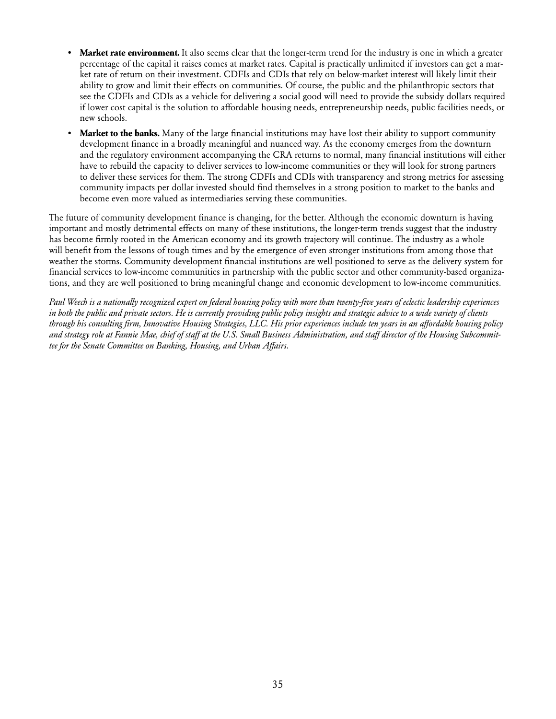- **Market rate environment.** It also seems clear that the longer-term trend for the industry is one in which a greater percentage of the capital it raises comes at market rates. Capital is practically unlimited if investors can get a market rate of return on their investment. CDFIs and CDIs that rely on below-market interest will likely limit their ability to grow and limit their effects on communities. Of course, the public and the philanthropic sectors that see the CDFIs and CDIs as a vehicle for delivering a social good will need to provide the subsidy dollars required if lower cost capital is the solution to affordable housing needs, entrepreneurship needs, public facilities needs, or new schools.
- **Market to the banks.** Many of the large financial institutions may have lost their ability to support community development finance in a broadly meaningful and nuanced way. As the economy emerges from the downturn and the regulatory environment accompanying the CRA returns to normal, many financial institutions will either have to rebuild the capacity to deliver services to low-income communities or they will look for strong partners to deliver these services for them. The strong CDFIs and CDIs with transparency and strong metrics for assessing community impacts per dollar invested should find themselves in a strong position to market to the banks and become even more valued as intermediaries serving these communities.

The future of community development finance is changing, for the better. Although the economic downturn is having important and mostly detrimental effects on many of these institutions, the longer-term trends suggest that the industry has become firmly rooted in the American economy and its growth trajectory will continue. The industry as a whole will benefit from the lessons of tough times and by the emergence of even stronger institutions from among those that weather the storms. Community development financial institutions are well positioned to serve as the delivery system for financial services to low-income communities in partnership with the public sector and other community-based organizations, and they are well positioned to bring meaningful change and economic development to low-income communities.

*Paul Weech is a nationally recognized expert on federal housing policy with more than twenty-five years of eclectic leadership experiences in both the public and private sectors. He is currently providing public policy insights and strategic advice to a wide variety of clients through his consulting firm, Innovative Housing Strategies, LLC. His prior experiences include ten years in an affordable housing policy and strategy role at Fannie Mae, chief of staff at the U.S. Small Business Administration, and staff director of the Housing Subcommittee for the Senate Committee on Banking, Housing, and Urban Affairs.*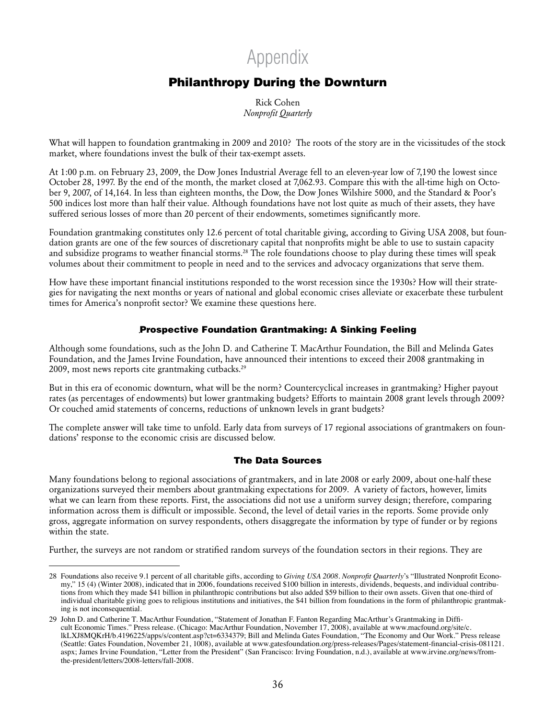## Appendix

### Philanthropy During the Downturn

Rick Cohen *Nonprofit Quarterly*

What will happen to foundation grantmaking in 2009 and 2010? The roots of the story are in the vicissitudes of the stock market, where foundations invest the bulk of their tax-exempt assets.

At 1:00 p.m. on February 23, 2009, the Dow Jones Industrial Average fell to an eleven-year low of 7,190 the lowest since October 28, 1997. By the end of the month, the market closed at 7,062.93. Compare this with the all-time high on October 9, 2007, of 14,164. In less than eighteen months, the Dow, the Dow Jones Wilshire 5000, and the Standard & Poor's 500 indices lost more than half their value. Although foundations have not lost quite as much of their assets, they have suffered serious losses of more than 20 percent of their endowments, sometimes significantly more.

Foundation grantmaking constitutes only 12.6 percent of total charitable giving, according to Giving USA 2008, but foundation grants are one of the few sources of discretionary capital that nonprofits might be able to use to sustain capacity and subsidize programs to weather financial storms.28 The role foundations choose to play during these times will speak volumes about their commitment to people in need and to the services and advocacy organizations that serve them.

How have these important financial institutions responded to the worst recession since the 1930s? How will their strategies for navigating the next months or years of national and global economic crises alleviate or exacerbate these turbulent times for America's nonprofit sector? We examine these questions here.

#### Prospective Foundation Grantmaking: A Sinking Feeling

Although some foundations, such as the John D. and Catherine T. MacArthur Foundation, the Bill and Melinda Gates Foundation, and the James Irvine Foundation, have announced their intentions to exceed their 2008 grantmaking in 2009, most news reports cite grantmaking cutbacks.29

But in this era of economic downturn, what will be the norm? Countercyclical increases in grantmaking? Higher payout rates (as percentages of endowments) but lower grantmaking budgets? Efforts to maintain 2008 grant levels through 2009? Or couched amid statements of concerns, reductions of unknown levels in grant budgets?

The complete answer will take time to unfold. Early data from surveys of 17 regional associations of grantmakers on foundations' response to the economic crisis are discussed below.

#### The Data Sources

Many foundations belong to regional associations of grantmakers, and in late 2008 or early 2009, about one-half these organizations surveyed their members about grantmaking expectations for 2009. A variety of factors, however, limits what we can learn from these reports. First, the associations did not use a uniform survey design; therefore, comparing information across them is difficult or impossible. Second, the level of detail varies in the reports. Some provide only gross, aggregate information on survey respondents, others disaggregate the information by type of funder or by regions within the state.

Further, the surveys are not random or stratified random surveys of the foundation sectors in their regions. They are

<sup>28</sup> Foundations also receive 9.1 percent of all charitable gifts, according to *Giving USA 2008*. *Nonprofit Quarterly*'s "Illustrated Nonprofit Economy," 15 (4) (Winter 2008), indicated that in 2006, foundations received \$100 billion in interests, dividends, bequests, and individual contributions from which they made \$41 billion in philanthropic contributions but also added \$59 billion to their own assets. Given that one-third of individual charitable giving goes to religious institutions and initiatives, the \$41 billion from foundations in the form of philanthropic grantmaking is not inconsequential.

<sup>29</sup> John D. and Catherine T. MacArthur Foundation, "Statement of Jonathan F. Fanton Regarding MacArthur's Grantmaking in Difficult Economic Times." Press release. (Chicago: MacArthur Foundation, November 17, 2008), available at www.macfound.org/site/c. lkLXJ8MQKrH/b.4196225/apps/s/content.asp?ct=6334379; Bill and Melinda Gates Foundation, "The Economy and Our Work." Press release (Seattle: Gates Foundation, November 21, 1008), available at www.gatesfoundation.org/press-releases/Pages/statement-financial-crisis-081121. aspx; James Irvine Foundation, "Letter from the President" (San Francisco: Irving Foundation, n.d.), available at www.irvine.org/news/fromthe-president/letters/2008-letters/fall-2008.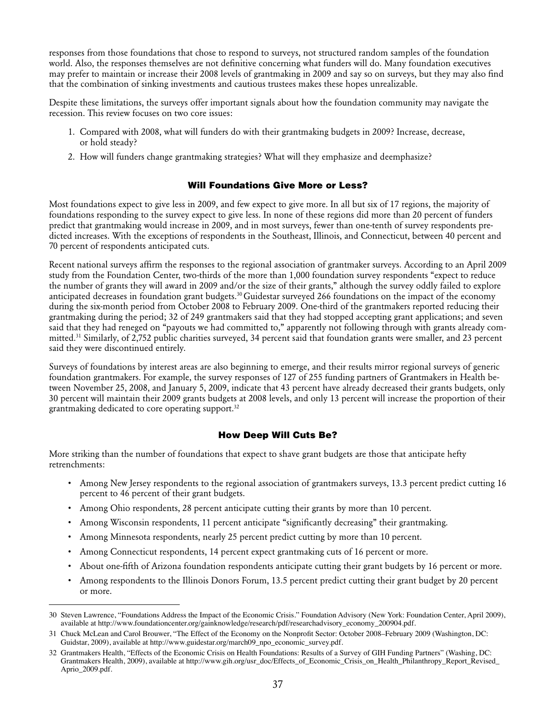responses from those foundations that chose to respond to surveys, not structured random samples of the foundation world. Also, the responses themselves are not definitive concerning what funders will do. Many foundation executives may prefer to maintain or increase their 2008 levels of grantmaking in 2009 and say so on surveys, but they may also find that the combination of sinking investments and cautious trustees makes these hopes unrealizable.

Despite these limitations, the surveys offer important signals about how the foundation community may navigate the recession. This review focuses on two core issues:

- 1. Compared with 2008, what will funders do with their grantmaking budgets in 2009? Increase, decrease, or hold steady?
- 2. How will funders change grantmaking strategies? What will they emphasize and deemphasize?

#### Will Foundations Give More or Less?

Most foundations expect to give less in 2009, and few expect to give more. In all but six of 17 regions, the majority of foundations responding to the survey expect to give less. In none of these regions did more than 20 percent of funders predict that grantmaking would increase in 2009, and in most surveys, fewer than one-tenth of survey respondents predicted increases. With the exceptions of respondents in the Southeast, Illinois, and Connecticut, between 40 percent and 70 percent of respondents anticipated cuts.

Recent national surveys affirm the responses to the regional association of grantmaker surveys. According to an April 2009 study from the Foundation Center, two-thirds of the more than 1,000 foundation survey respondents "expect to reduce the number of grants they will award in 2009 and/or the size of their grants," although the survey oddly failed to explore anticipated decreases in foundation grant budgets.30 Guidestar surveyed 266 foundations on the impact of the economy during the six-month period from October 2008 to February 2009. One-third of the grantmakers reported reducing their grantmaking during the period; 32 of 249 grantmakers said that they had stopped accepting grant applications; and seven said that they had reneged on "payouts we had committed to," apparently not following through with grants already committed.31 Similarly, of 2,752 public charities surveyed, 34 percent said that foundation grants were smaller, and 23 percent said they were discontinued entirely.

Surveys of foundations by interest areas are also beginning to emerge, and their results mirror regional surveys of generic foundation grantmakers. For example, the survey responses of 127 of 255 funding partners of Grantmakers in Health between November 25, 2008, and January 5, 2009, indicate that 43 percent have already decreased their grants budgets, only 30 percent will maintain their 2009 grants budgets at 2008 levels, and only 13 percent will increase the proportion of their grantmaking dedicated to core operating support.<sup>32</sup>

#### How Deep Will Cuts Be?

More striking than the number of foundations that expect to shave grant budgets are those that anticipate hefty retrenchments:

- • Among New Jersey respondents to the regional association of grantmakers surveys, 13.3 percent predict cutting 16 percent to 46 percent of their grant budgets.
- • Among Ohio respondents, 28 percent anticipate cutting their grants by more than 10 percent.
- • Among Wisconsin respondents, 11 percent anticipate "significantly decreasing" their grantmaking.
- • Among Minnesota respondents, nearly 25 percent predict cutting by more than 10 percent.
- Among Connecticut respondents, 14 percent expect grantmaking cuts of 16 percent or more.
- About one-fifth of Arizona foundation respondents anticipate cutting their grant budgets by 16 percent or more.
- • Among respondents to the Illinois Donors Forum, 13.5 percent predict cutting their grant budget by 20 percent or more.

<sup>30</sup> Steven Lawrence, "Foundations Address the Impact of the Economic Crisis." Foundation Advisory (New York: Foundation Center, April 2009), available at http://www.foundationcenter.org/gainknowledge/research/pdf/researchadvisory\_economy\_200904.pdf.

<sup>31</sup> Chuck McLean and Carol Brouwer, "The Effect of the Economy on the Nonprofit Sector: October 2008–February 2009 (Washington, DC: Guidstar, 2009), available at http://www.guidestar.org/march09\_npo\_economic\_survey.pdf.

<sup>32</sup> Grantmakers Health, "Effects of the Economic Crisis on Health Foundations: Results of a Survey of GIH Funding Partners" (Washing, DC: Grantmakers Health, 2009), available at http://www.gih.org/usr\_doc/Effects\_of\_Economic\_Crisis\_on\_Health\_Philanthropy\_Report\_Revised\_ Aprio\_2009.pdf.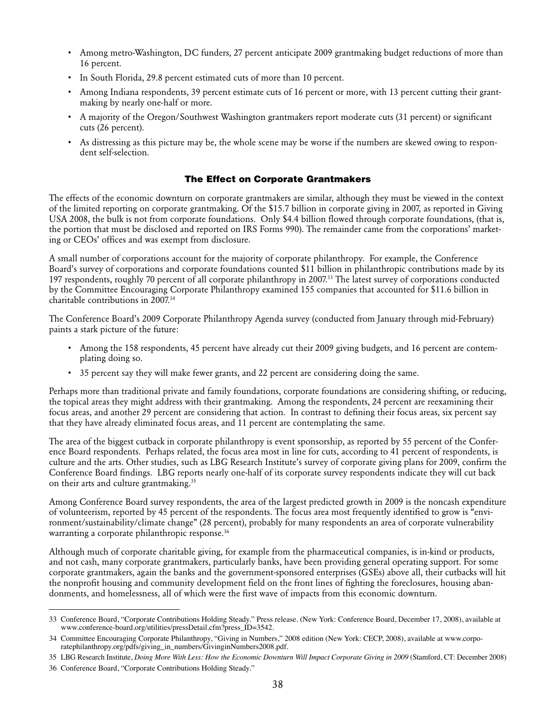- • Among metro-Washington, DC funders, 27 percent anticipate 2009 grantmaking budget reductions of more than 16 percent.
- In South Florida, 29.8 percent estimated cuts of more than 10 percent.
- • Among Indiana respondents, 39 percent estimate cuts of 16 percent or more, with 13 percent cutting their grantmaking by nearly one-half or more.
- • A majority of the Oregon/Southwest Washington grantmakers report moderate cuts (31 percent) or significant cuts (26 percent).
- • As distressing as this picture may be, the whole scene may be worse if the numbers are skewed owing to respondent self-selection.

#### The Effect on Corporate Grantmakers

The effects of the economic downturn on corporate grantmakers are similar, although they must be viewed in the context of the limited reporting on corporate grantmaking. Of the \$15.7 billion in corporate giving in 2007, as reported in Giving USA 2008, the bulk is not from corporate foundations. Only \$4.4 billion flowed through corporate foundations, (that is, the portion that must be disclosed and reported on IRS Forms 990). The remainder came from the corporations' marketing or CEOs' offices and was exempt from disclosure.

A small number of corporations account for the majority of corporate philanthropy. For example, the Conference Board's survey of corporations and corporate foundations counted \$11 billion in philanthropic contributions made by its 197 respondents, roughly 70 percent of all corporate philanthropy in 2007.33 The latest survey of corporations conducted by the Committee Encouraging Corporate Philanthropy examined 155 companies that accounted for \$11.6 billion in charitable contributions in 2007.34

The Conference Board's 2009 Corporate Philanthropy Agenda survey (conducted from January through mid-February) paints a stark picture of the future:

- • Among the 158 respondents, 45 percent have already cut their 2009 giving budgets, and 16 percent are contemplating doing so.
- • 35 percent say they will make fewer grants, and 22 percent are considering doing the same.

Perhaps more than traditional private and family foundations, corporate foundations are considering shifting, or reducing, the topical areas they might address with their grantmaking. Among the respondents, 24 percent are reexamining their focus areas, and another 29 percent are considering that action. In contrast to defining their focus areas, six percent say that they have already eliminated focus areas, and 11 percent are contemplating the same.

The area of the biggest cutback in corporate philanthropy is event sponsorship, as reported by 55 percent of the Conference Board respondents. Perhaps related, the focus area most in line for cuts, according to 41 percent of respondents, is culture and the arts. Other studies, such as LBG Research Institute's survey of corporate giving plans for 2009, confirm the Conference Board findings. LBG reports nearly one-half of its corporate survey respondents indicate they will cut back on their arts and culture grantmaking.35

Among Conference Board survey respondents, the area of the largest predicted growth in 2009 is the noncash expenditure of volunteerism, reported by 45 percent of the respondents. The focus area most frequently identified to grow is "environment/sustainability/climate change" (28 percent), probably for many respondents an area of corporate vulnerability warranting a corporate philanthropic response.<sup>36</sup>

Although much of corporate charitable giving, for example from the pharmaceutical companies, is in-kind or products, and not cash, many corporate grantmakers, particularly banks, have been providing general operating support. For some corporate grantmakers, again the banks and the government-sponsored enterprises (GSEs) above all, their cutbacks will hit the nonprofit housing and community development field on the front lines of fighting the foreclosures, housing abandonments, and homelessness, all of which were the first wave of impacts from this economic downturn.

<sup>33</sup> Conference Board, "Corporate Contributions Holding Steady." Press release. (New York: Conference Board, December 17, 2008), available at www.conference-board.org/utilities/pressDetail.cfm?press\_ID=3542.

<sup>34</sup> Committee Encouraging Corporate Philanthropy, "Giving in Numbers," 2008 edition (New York: CECP, 2008), available at www.corporatephilanthropy.org/pdfs/giving\_in\_numbers/GivinginNumbers2008.pdf.

<sup>35</sup> LBG Research Institute, *Doing More With Less: How the Economic Downturn Will Impact Corporate Giving in 2009* (Stamford, CT: December 2008) 36 Conference Board, "Corporate Contributions Holding Steady."